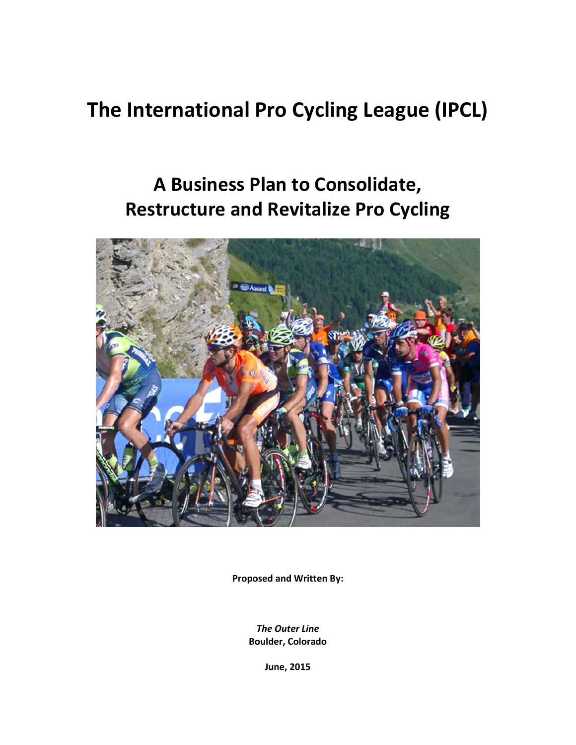# **The International Pro Cycling League (IPCL)**

# **A Business Plan to Consolidate, Restructure and Revitalize Pro Cycling**



**Proposed and Written By:**

*The Outer Line* **Boulder, Colorado**

**June, 2015**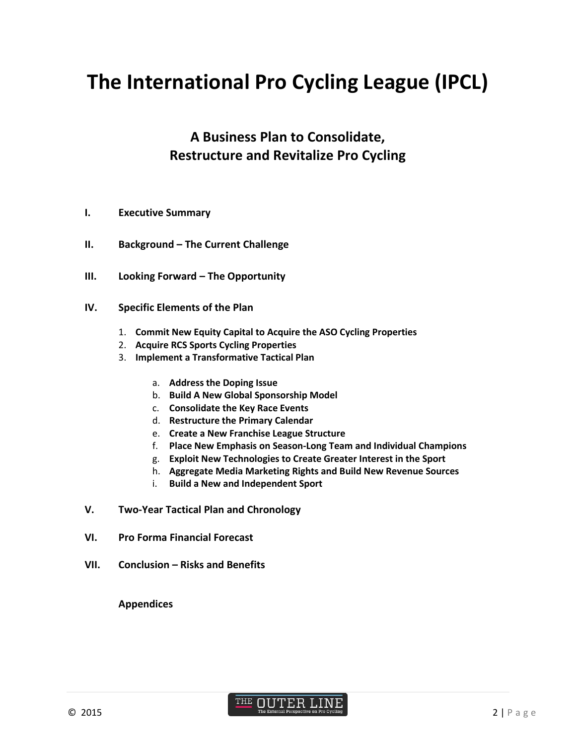# **The International Pro Cycling League (IPCL)**

## **A Business Plan to Consolidate, Restructure and Revitalize Pro Cycling**

- **I. Executive Summary**
- **II. Background – The Current Challenge**
- **III.** Looking Forward The Opportunity
- **IV. Specific Elements of the Plan**
	- 1. **Commit New Equity Capital to Acquire the ASO Cycling Properties**
	- 2. **Acquire RCS Sports Cycling Properties**
	- 3. **Implement a Transformative Tactical Plan**
		- a. **Address the Doping Issue**
		- b. **Build A New Global Sponsorship Model**
		- c. **Consolidate the Key Race Events**
		- d. **Restructure the Primary Calendar**
		- e. **Create a New Franchise League Structure**
		- f. **Place New Emphasis on Season-Long Team and Individual Champions**
		- g. **Exploit New Technologies to Create Greater Interest in the Sport**
		- h. **Aggregate Media Marketing Rights and Build New Revenue Sources**
		- i. **Build a New and Independent Sport**
- **V. Two-Year Tactical Plan and Chronology**
- **VI. Pro Forma Financial Forecast**
- **VII. Conclusion – Risks and Benefits**

#### **Appendices**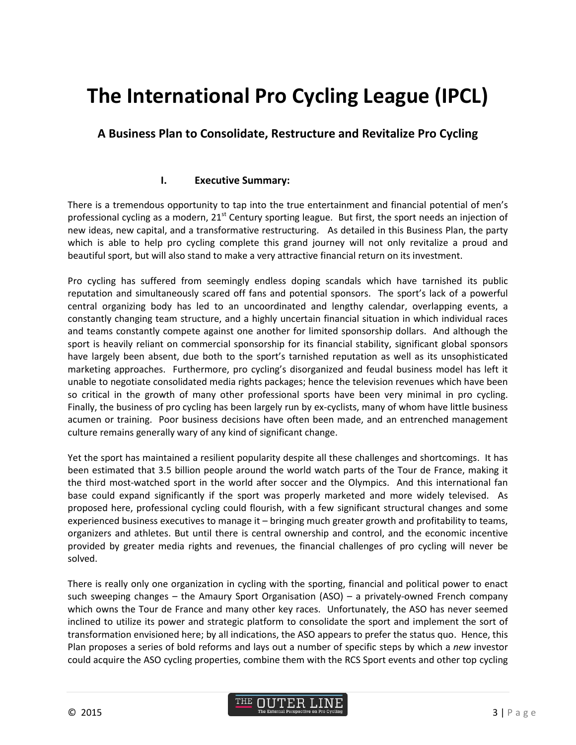# **The International Pro Cycling League (IPCL)**

### **A Business Plan to Consolidate, Restructure and Revitalize Pro Cycling**

### **I. Executive Summary:**

There is a tremendous opportunity to tap into the true entertainment and financial potential of men's professional cycling as a modern,  $21<sup>st</sup>$  Century sporting league. But first, the sport needs an injection of new ideas, new capital, and a transformative restructuring. As detailed in this Business Plan, the party which is able to help pro cycling complete this grand journey will not only revitalize a proud and beautiful sport, but will also stand to make a very attractive financial return on its investment.

Pro cycling has suffered from seemingly endless doping scandals which have tarnished its public reputation and simultaneously scared off fans and potential sponsors. The sport's lack of a powerful central organizing body has led to an uncoordinated and lengthy calendar, overlapping events, a constantly changing team structure, and a highly uncertain financial situation in which individual races and teams constantly compete against one another for limited sponsorship dollars. And although the sport is heavily reliant on commercial sponsorship for its financial stability, significant global sponsors have largely been absent, due both to the sport's tarnished reputation as well as its unsophisticated marketing approaches. Furthermore, pro cycling's disorganized and feudal business model has left it unable to negotiate consolidated media rights packages; hence the television revenues which have been so critical in the growth of many other professional sports have been very minimal in pro cycling. Finally, the business of pro cycling has been largely run by ex-cyclists, many of whom have little business acumen or training. Poor business decisions have often been made, and an entrenched management culture remains generally wary of any kind of significant change.

Yet the sport has maintained a resilient popularity despite all these challenges and shortcomings. It has been estimated that 3.5 billion people around the world watch parts of the Tour de France, making it the third most-watched sport in the world after soccer and the Olympics. And this international fan base could expand significantly if the sport was properly marketed and more widely televised. As proposed here, professional cycling could flourish, with a few significant structural changes and some experienced business executives to manage it – bringing much greater growth and profitability to teams, organizers and athletes. But until there is central ownership and control, and the economic incentive provided by greater media rights and revenues, the financial challenges of pro cycling will never be solved.

There is really only one organization in cycling with the sporting, financial and political power to enact such sweeping changes – the Amaury Sport Organisation (ASO) – a privately-owned French company which owns the Tour de France and many other key races. Unfortunately, the ASO has never seemed inclined to utilize its power and strategic platform to consolidate the sport and implement the sort of transformation envisioned here; by all indications, the ASO appears to prefer the status quo. Hence, this Plan proposes a series of bold reforms and lays out a number of specific steps by which a *new* investor could acquire the ASO cycling properties, combine them with the RCS Sport events and other top cycling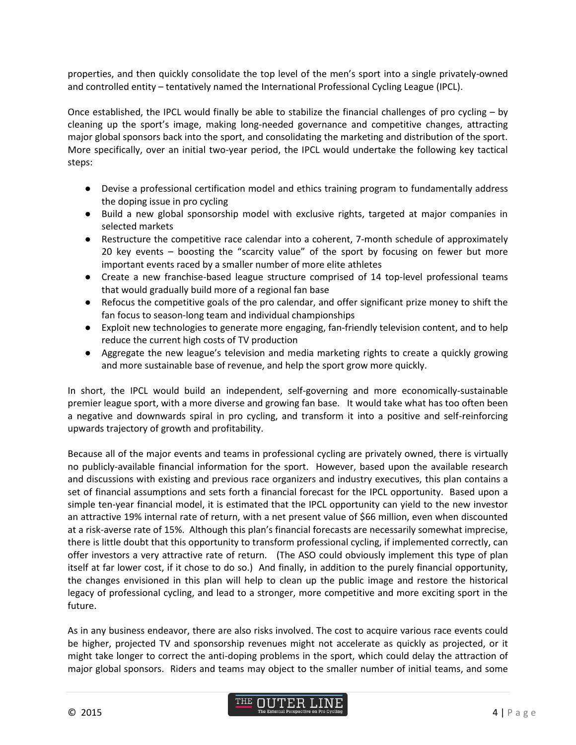properties, and then quickly consolidate the top level of the men's sport into a single privately-owned and controlled entity – tentatively named the International Professional Cycling League (IPCL).

Once established, the IPCL would finally be able to stabilize the financial challenges of pro cycling – by cleaning up the sport's image, making long-needed governance and competitive changes, attracting major global sponsors back into the sport, and consolidating the marketing and distribution of the sport. More specifically, over an initial two-year period, the IPCL would undertake the following key tactical steps:

- Devise a professional certification model and ethics training program to fundamentally address the doping issue in pro cycling
- Build a new global sponsorship model with exclusive rights, targeted at major companies in selected markets
- Restructure the competitive race calendar into a coherent, 7-month schedule of approximately 20 key events – boosting the "scarcity value" of the sport by focusing on fewer but more important events raced by a smaller number of more elite athletes
- Create a new franchise-based league structure comprised of 14 top-level professional teams that would gradually build more of a regional fan base
- Refocus the competitive goals of the pro calendar, and offer significant prize money to shift the fan focus to season-long team and individual championships
- Exploit new technologies to generate more engaging, fan-friendly television content, and to help reduce the current high costs of TV production
- Aggregate the new league's television and media marketing rights to create a quickly growing and more sustainable base of revenue, and help the sport grow more quickly.

In short, the IPCL would build an independent, self-governing and more economically-sustainable premier league sport, with a more diverse and growing fan base. It would take what has too often been a negative and downwards spiral in pro cycling, and transform it into a positive and self-reinforcing upwards trajectory of growth and profitability.

Because all of the major events and teams in professional cycling are privately owned, there is virtually no publicly-available financial information for the sport. However, based upon the available research and discussions with existing and previous race organizers and industry executives, this plan contains a set of financial assumptions and sets forth a financial forecast for the IPCL opportunity. Based upon a simple ten-year financial model, it is estimated that the IPCL opportunity can yield to the new investor an attractive 19% internal rate of return, with a net present value of \$66 million, even when discounted at a risk-averse rate of 15%. Although this plan's financial forecasts are necessarily somewhat imprecise, there is little doubt that this opportunity to transform professional cycling, if implemented correctly, can offer investors a very attractive rate of return. (The ASO could obviously implement this type of plan itself at far lower cost, if it chose to do so.) And finally, in addition to the purely financial opportunity, the changes envisioned in this plan will help to clean up the public image and restore the historical legacy of professional cycling, and lead to a stronger, more competitive and more exciting sport in the future.

As in any business endeavor, there are also risks involved. The cost to acquire various race events could be higher, projected TV and sponsorship revenues might not accelerate as quickly as projected, or it might take longer to correct the anti-doping problems in the sport, which could delay the attraction of major global sponsors. Riders and teams may object to the smaller number of initial teams, and some

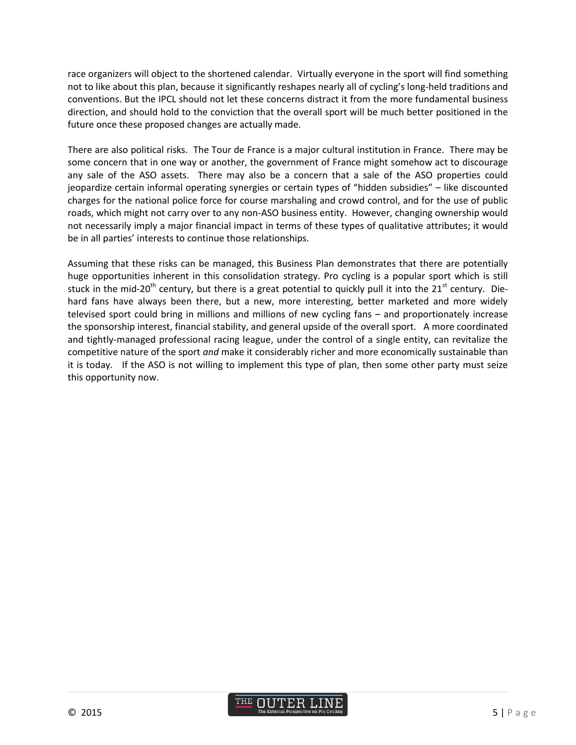race organizers will object to the shortened calendar. Virtually everyone in the sport will find something not to like about this plan, because it significantly reshapes nearly all of cycling's long-held traditions and conventions. But the IPCL should not let these concerns distract it from the more fundamental business direction, and should hold to the conviction that the overall sport will be much better positioned in the future once these proposed changes are actually made.

There are also political risks. The Tour de France is a major cultural institution in France. There may be some concern that in one way or another, the government of France might somehow act to discourage any sale of the ASO assets. There may also be a concern that a sale of the ASO properties could jeopardize certain informal operating synergies or certain types of "hidden subsidies" – like discounted charges for the national police force for course marshaling and crowd control, and for the use of public roads, which might not carry over to any non-ASO business entity. However, changing ownership would not necessarily imply a major financial impact in terms of these types of qualitative attributes; it would be in all parties' interests to continue those relationships.

Assuming that these risks can be managed, this Business Plan demonstrates that there are potentially huge opportunities inherent in this consolidation strategy. Pro cycling is a popular sport which is still stuck in the mid-20<sup>th</sup> century, but there is a great potential to quickly pull it into the 21<sup>st</sup> century. Diehard fans have always been there, but a new, more interesting, better marketed and more widely televised sport could bring in millions and millions of new cycling fans – and proportionately increase the sponsorship interest, financial stability, and general upside of the overall sport. A more coordinated and tightly-managed professional racing league, under the control of a single entity, can revitalize the competitive nature of the sport *and* make it considerably richer and more economically sustainable than it is today. If the ASO is not willing to implement this type of plan, then some other party must seize this opportunity now.

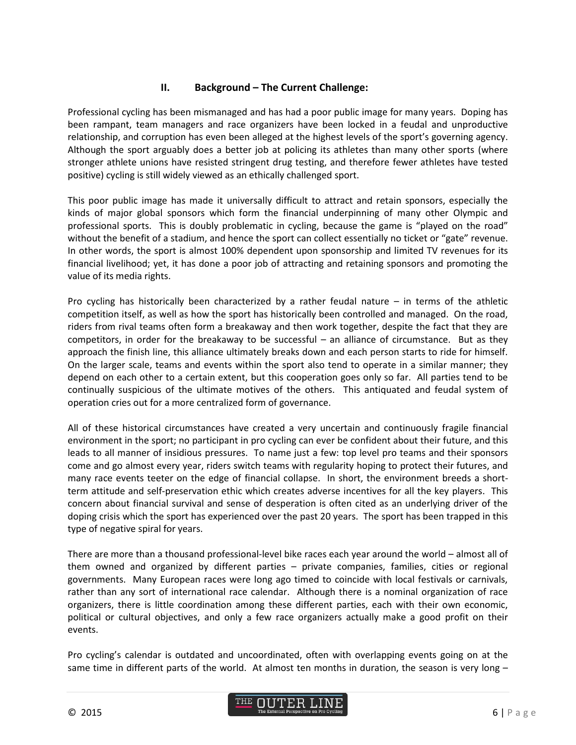### **II. Background – The Current Challenge:**

Professional cycling has been mismanaged and has had a poor public image for many years. Doping has been rampant, team managers and race organizers have been locked in a feudal and unproductive relationship, and corruption has even been alleged at the highest levels of the sport's governing agency. Although the sport arguably does a better job at policing its athletes than many other sports (where stronger athlete unions have resisted stringent drug testing, and therefore fewer athletes have tested positive) cycling is still widely viewed as an ethically challenged sport.

This poor public image has made it universally difficult to attract and retain sponsors, especially the kinds of major global sponsors which form the financial underpinning of many other Olympic and professional sports. This is doubly problematic in cycling, because the game is "played on the road" without the benefit of a stadium, and hence the sport can collect essentially no ticket or "gate" revenue. In other words, the sport is almost 100% dependent upon sponsorship and limited TV revenues for its financial livelihood; yet, it has done a poor job of attracting and retaining sponsors and promoting the value of its media rights.

Pro cycling has historically been characterized by a rather feudal nature – in terms of the athletic competition itself, as well as how the sport has historically been controlled and managed. On the road, riders from rival teams often form a breakaway and then work together, despite the fact that they are competitors, in order for the breakaway to be successful – an alliance of circumstance. But as they approach the finish line, this alliance ultimately breaks down and each person starts to ride for himself. On the larger scale, teams and events within the sport also tend to operate in a similar manner; they depend on each other to a certain extent, but this cooperation goes only so far. All parties tend to be continually suspicious of the ultimate motives of the others. This antiquated and feudal system of operation cries out for a more centralized form of governance.

All of these historical circumstances have created a very uncertain and continuously fragile financial environment in the sport; no participant in pro cycling can ever be confident about their future, and this leads to all manner of insidious pressures. To name just a few: top level pro teams and their sponsors come and go almost every year, riders switch teams with regularity hoping to protect their futures, and many race events teeter on the edge of financial collapse. In short, the environment breeds a shortterm attitude and self-preservation ethic which creates adverse incentives for all the key players. This concern about financial survival and sense of desperation is often cited as an underlying driver of the doping crisis which the sport has experienced over the past 20 years. The sport has been trapped in this type of negative spiral for years.

There are more than a thousand professional-level bike races each year around the world – almost all of them owned and organized by different parties – private companies, families, cities or regional governments. Many European races were long ago timed to coincide with local festivals or carnivals, rather than any sort of international race calendar. Although there is a nominal organization of race organizers, there is little coordination among these different parties, each with their own economic, political or cultural objectives, and only a few race organizers actually make a good profit on their events.

Pro cycling's calendar is outdated and uncoordinated, often with overlapping events going on at the same time in different parts of the world. At almost ten months in duration, the season is very long -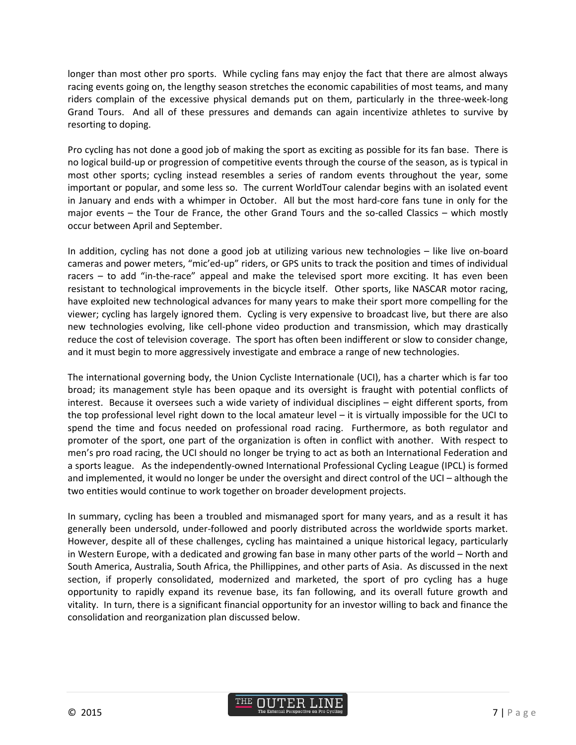longer than most other pro sports. While cycling fans may enjoy the fact that there are almost always racing events going on, the lengthy season stretches the economic capabilities of most teams, and many riders complain of the excessive physical demands put on them, particularly in the three-week-long Grand Tours. And all of these pressures and demands can again incentivize athletes to survive by resorting to doping.

Pro cycling has not done a good job of making the sport as exciting as possible for its fan base. There is no logical build-up or progression of competitive events through the course of the season, as is typical in most other sports; cycling instead resembles a series of random events throughout the year, some important or popular, and some less so. The current WorldTour calendar begins with an isolated event in January and ends with a whimper in October. All but the most hard-core fans tune in only for the major events – the Tour de France, the other Grand Tours and the so-called Classics – which mostly occur between April and September.

In addition, cycling has not done a good job at utilizing various new technologies – like live on-board cameras and power meters, "mic'ed-up" riders, or GPS units to track the position and times of individual racers – to add "in-the-race" appeal and make the televised sport more exciting. It has even been resistant to technological improvements in the bicycle itself. Other sports, like NASCAR motor racing, have exploited new technological advances for many years to make their sport more compelling for the viewer; cycling has largely ignored them. Cycling is very expensive to broadcast live, but there are also new technologies evolving, like cell-phone video production and transmission, which may drastically reduce the cost of television coverage. The sport has often been indifferent or slow to consider change, and it must begin to more aggressively investigate and embrace a range of new technologies.

The international governing body, the Union Cycliste Internationale (UCI), has a charter which is far too broad; its management style has been opaque and its oversight is fraught with potential conflicts of interest. Because it oversees such a wide variety of individual disciplines – eight different sports, from the top professional level right down to the local amateur level – it is virtually impossible for the UCI to spend the time and focus needed on professional road racing. Furthermore, as both regulator and promoter of the sport, one part of the organization is often in conflict with another. With respect to men's pro road racing, the UCI should no longer be trying to act as both an International Federation and a sports league. As the independently-owned International Professional Cycling League (IPCL) is formed and implemented, it would no longer be under the oversight and direct control of the UCI – although the two entities would continue to work together on broader development projects.

In summary, cycling has been a troubled and mismanaged sport for many years, and as a result it has generally been undersold, under-followed and poorly distributed across the worldwide sports market. However, despite all of these challenges, cycling has maintained a unique historical legacy, particularly in Western Europe, with a dedicated and growing fan base in many other parts of the world – North and South America, Australia, South Africa, the Phillippines, and other parts of Asia. As discussed in the next section, if properly consolidated, modernized and marketed, the sport of pro cycling has a huge opportunity to rapidly expand its revenue base, its fan following, and its overall future growth and vitality. In turn, there is a significant financial opportunity for an investor willing to back and finance the consolidation and reorganization plan discussed below.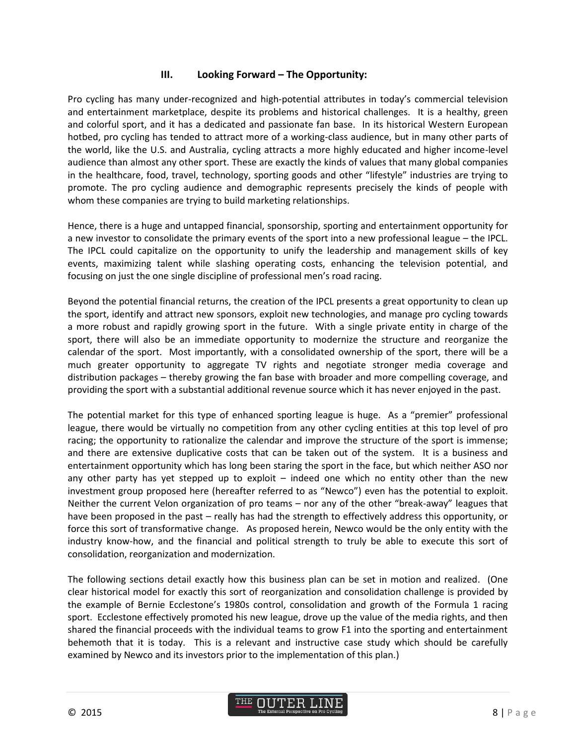#### **III.** Looking Forward – The Opportunity:

Pro cycling has many under-recognized and high-potential attributes in today's commercial television and entertainment marketplace, despite its problems and historical challenges. It is a healthy, green and colorful sport, and it has a dedicated and passionate fan base. In its historical Western European hotbed, pro cycling has tended to attract more of a working-class audience, but in many other parts of the world, like the U.S. and Australia, cycling attracts a more highly educated and higher income-level audience than almost any other sport. These are exactly the kinds of values that many global companies in the healthcare, food, travel, technology, sporting goods and other "lifestyle" industries are trying to promote. The pro cycling audience and demographic represents precisely the kinds of people with whom these companies are trying to build marketing relationships.

Hence, there is a huge and untapped financial, sponsorship, sporting and entertainment opportunity for a new investor to consolidate the primary events of the sport into a new professional league – the IPCL. The IPCL could capitalize on the opportunity to unify the leadership and management skills of key events, maximizing talent while slashing operating costs, enhancing the television potential, and focusing on just the one single discipline of professional men's road racing.

Beyond the potential financial returns, the creation of the IPCL presents a great opportunity to clean up the sport, identify and attract new sponsors, exploit new technologies, and manage pro cycling towards a more robust and rapidly growing sport in the future. With a single private entity in charge of the sport, there will also be an immediate opportunity to modernize the structure and reorganize the calendar of the sport. Most importantly, with a consolidated ownership of the sport, there will be a much greater opportunity to aggregate TV rights and negotiate stronger media coverage and distribution packages – thereby growing the fan base with broader and more compelling coverage, and providing the sport with a substantial additional revenue source which it has never enjoyed in the past.

The potential market for this type of enhanced sporting league is huge. As a "premier" professional league, there would be virtually no competition from any other cycling entities at this top level of pro racing; the opportunity to rationalize the calendar and improve the structure of the sport is immense; and there are extensive duplicative costs that can be taken out of the system. It is a business and entertainment opportunity which has long been staring the sport in the face, but which neither ASO nor any other party has yet stepped up to exploit  $-$  indeed one which no entity other than the new investment group proposed here (hereafter referred to as "Newco") even has the potential to exploit. Neither the current Velon organization of pro teams – nor any of the other "break-away" leagues that have been proposed in the past – really has had the strength to effectively address this opportunity, or force this sort of transformative change. As proposed herein, Newco would be the only entity with the industry know-how, and the financial and political strength to truly be able to execute this sort of consolidation, reorganization and modernization.

The following sections detail exactly how this business plan can be set in motion and realized. (One clear historical model for exactly this sort of reorganization and consolidation challenge is provided by the example of Bernie Ecclestone's 1980s control, consolidation and growth of the Formula 1 racing sport. Ecclestone effectively promoted his new league, drove up the value of the media rights, and then shared the financial proceeds with the individual teams to grow F1 into the sporting and entertainment behemoth that it is today. This is a relevant and instructive case study which should be carefully examined by Newco and its investors prior to the implementation of this plan.)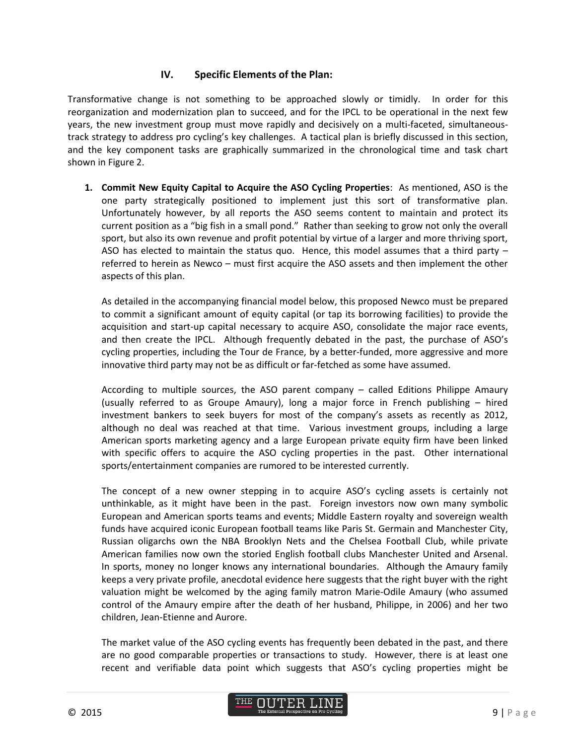### **IV. Specific Elements of the Plan:**

Transformative change is not something to be approached slowly or timidly. In order for this reorganization and modernization plan to succeed, and for the IPCL to be operational in the next few years, the new investment group must move rapidly and decisively on a multi-faceted, simultaneoustrack strategy to address pro cycling's key challenges. A tactical plan is briefly discussed in this section, and the key component tasks are graphically summarized in the chronological time and task chart shown in Figure 2.

**1. Commit New Equity Capital to Acquire the ASO Cycling Properties**: As mentioned, ASO is the one party strategically positioned to implement just this sort of transformative plan. Unfortunately however, by all reports the ASO seems content to maintain and protect its current position as a "big fish in a small pond." Rather than seeking to grow not only the overall sport, but also its own revenue and profit potential by virtue of a larger and more thriving sport, ASO has elected to maintain the status quo. Hence, this model assumes that a third party – referred to herein as Newco – must first acquire the ASO assets and then implement the other aspects of this plan.

As detailed in the accompanying financial model below, this proposed Newco must be prepared to commit a significant amount of equity capital (or tap its borrowing facilities) to provide the acquisition and start-up capital necessary to acquire ASO, consolidate the major race events, and then create the IPCL. Although frequently debated in the past, the purchase of ASO's cycling properties, including the Tour de France, by a better-funded, more aggressive and more innovative third party may not be as difficult or far-fetched as some have assumed.

According to multiple sources, the ASO parent company – called Editions Philippe Amaury (usually referred to as Groupe Amaury), long a major force in French publishing – hired investment bankers to seek buyers for most of the company's assets as recently as 2012, although no deal was reached at that time. Various investment groups, including a large American sports marketing agency and a large European private equity firm have been linked with specific offers to acquire the ASO cycling properties in the past. Other international sports/entertainment companies are rumored to be interested currently.

The concept of a new owner stepping in to acquire ASO's cycling assets is certainly not unthinkable, as it might have been in the past. Foreign investors now own many symbolic European and American sports teams and events; Middle Eastern royalty and sovereign wealth funds have acquired iconic European football teams like Paris St. Germain and Manchester City, Russian oligarchs own the NBA Brooklyn Nets and the Chelsea Football Club, while private American families now own the storied English football clubs Manchester United and Arsenal. In sports, money no longer knows any international boundaries. Although the Amaury family keeps a very private profile, anecdotal evidence here suggests that the right buyer with the right valuation might be welcomed by the aging family matron Marie-Odile Amaury (who assumed control of the Amaury empire after the death of her husband, Philippe, in 2006) and her two children, Jean-Etienne and Aurore.

The market value of the ASO cycling events has frequently been debated in the past, and there are no good comparable properties or transactions to study. However, there is at least one recent and verifiable data point which suggests that ASO's cycling properties might be

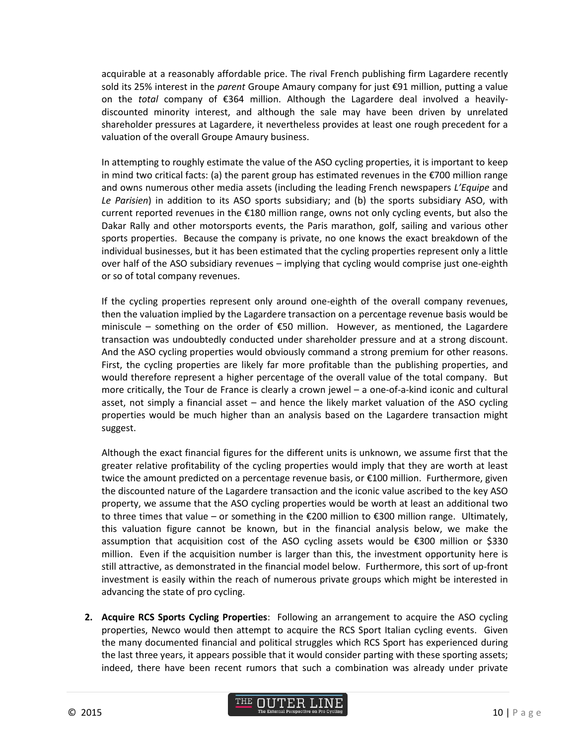acquirable at a reasonably affordable price. The rival French publishing firm Lagardere recently sold its 25% interest in the *parent* Groupe Amaury company for just €91 million, putting a value on the *total* company of €364 million. Although the Lagardere deal involved a heavilydiscounted minority interest, and although the sale may have been driven by unrelated shareholder pressures at Lagardere, it nevertheless provides at least one rough precedent for a valuation of the overall Groupe Amaury business.

In attempting to roughly estimate the value of the ASO cycling properties, it is important to keep in mind two critical facts: (a) the parent group has estimated revenues in the €700 million range and owns numerous other media assets (including the leading French newspapers *L'Equipe* and *Le Parisien*) in addition to its ASO sports subsidiary; and (b) the sports subsidiary ASO, with current reported revenues in the  $\epsilon$ 180 million range, owns not only cycling events, but also the Dakar Rally and other motorsports events, the Paris marathon, golf, sailing and various other sports properties. Because the company is private, no one knows the exact breakdown of the individual businesses, but it has been estimated that the cycling properties represent only a little over half of the ASO subsidiary revenues – implying that cycling would comprise just one-eighth or so of total company revenues.

If the cycling properties represent only around one-eighth of the overall company revenues, then the valuation implied by the Lagardere transaction on a percentage revenue basis would be miniscule – something on the order of  $\epsilon$ 50 million. However, as mentioned, the Lagardere transaction was undoubtedly conducted under shareholder pressure and at a strong discount. And the ASO cycling properties would obviously command a strong premium for other reasons. First, the cycling properties are likely far more profitable than the publishing properties, and would therefore represent a higher percentage of the overall value of the total company. But more critically, the Tour de France is clearly a crown jewel – a one-of-a-kind iconic and cultural asset, not simply a financial asset – and hence the likely market valuation of the ASO cycling properties would be much higher than an analysis based on the Lagardere transaction might suggest.

Although the exact financial figures for the different units is unknown, we assume first that the greater relative profitability of the cycling properties would imply that they are worth at least twice the amount predicted on a percentage revenue basis, or €100 million. Furthermore, given the discounted nature of the Lagardere transaction and the iconic value ascribed to the key ASO property, we assume that the ASO cycling properties would be worth at least an additional two to three times that value – or something in the €200 million to €300 million range. Ultimately, this valuation figure cannot be known, but in the financial analysis below, we make the assumption that acquisition cost of the ASO cycling assets would be €300 million or \$330 million. Even if the acquisition number is larger than this, the investment opportunity here is still attractive, as demonstrated in the financial model below. Furthermore, this sort of up-front investment is easily within the reach of numerous private groups which might be interested in advancing the state of pro cycling.

**2. Acquire RCS Sports Cycling Properties**: Following an arrangement to acquire the ASO cycling properties, Newco would then attempt to acquire the RCS Sport Italian cycling events. Given the many documented financial and political struggles which RCS Sport has experienced during the last three years, it appears possible that it would consider parting with these sporting assets; indeed, there have been recent rumors that such a combination was already under private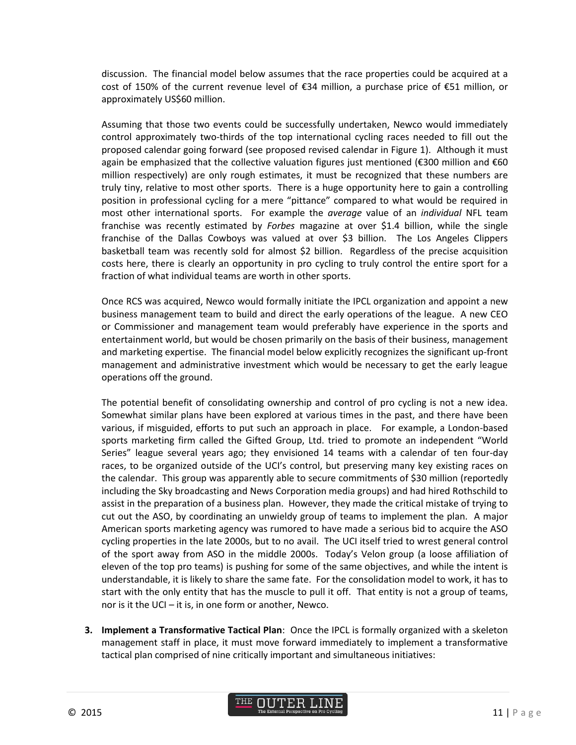discussion. The financial model below assumes that the race properties could be acquired at a cost of 150% of the current revenue level of €34 million, a purchase price of €51 million, or approximately US\$60 million.

Assuming that those two events could be successfully undertaken, Newco would immediately control approximately two-thirds of the top international cycling races needed to fill out the proposed calendar going forward (see proposed revised calendar in Figure 1). Although it must again be emphasized that the collective valuation figures just mentioned (€300 million and €60 million respectively) are only rough estimates, it must be recognized that these numbers are truly tiny, relative to most other sports. There is a huge opportunity here to gain a controlling position in professional cycling for a mere "pittance" compared to what would be required in most other international sports. For example the *average* value of an *individual* NFL team franchise was recently estimated by *Forbes* magazine at over \$1.4 billion, while the single franchise of the Dallas Cowboys was valued at over \$3 billion. The Los Angeles Clippers basketball team was recently sold for almost \$2 billion. Regardless of the precise acquisition costs here, there is clearly an opportunity in pro cycling to truly control the entire sport for a fraction of what individual teams are worth in other sports.

Once RCS was acquired, Newco would formally initiate the IPCL organization and appoint a new business management team to build and direct the early operations of the league. A new CEO or Commissioner and management team would preferably have experience in the sports and entertainment world, but would be chosen primarily on the basis of their business, management and marketing expertise. The financial model below explicitly recognizes the significant up-front management and administrative investment which would be necessary to get the early league operations off the ground.

The potential benefit of consolidating ownership and control of pro cycling is not a new idea. Somewhat similar plans have been explored at various times in the past, and there have been various, if misguided, efforts to put such an approach in place. For example, a London-based sports marketing firm called the Gifted Group, Ltd. tried to promote an independent "World Series" league several years ago; they envisioned 14 teams with a calendar of ten four-day races, to be organized outside of the UCI's control, but preserving many key existing races on the calendar. This group was apparently able to secure commitments of \$30 million (reportedly including the Sky broadcasting and News Corporation media groups) and had hired Rothschild to assist in the preparation of a business plan. However, they made the critical mistake of trying to cut out the ASO, by coordinating an unwieldy group of teams to implement the plan. A major American sports marketing agency was rumored to have made a serious bid to acquire the ASO cycling properties in the late 2000s, but to no avail. The UCI itself tried to wrest general control of the sport away from ASO in the middle 2000s. Today's Velon group (a loose affiliation of eleven of the top pro teams) is pushing for some of the same objectives, and while the intent is understandable, it is likely to share the same fate. For the consolidation model to work, it has to start with the only entity that has the muscle to pull it off. That entity is not a group of teams, nor is it the UCI – it is, in one form or another, Newco.

**3. Implement a Transformative Tactical Plan**: Once the IPCL is formally organized with a skeleton management staff in place, it must move forward immediately to implement a transformative tactical plan comprised of nine critically important and simultaneous initiatives:

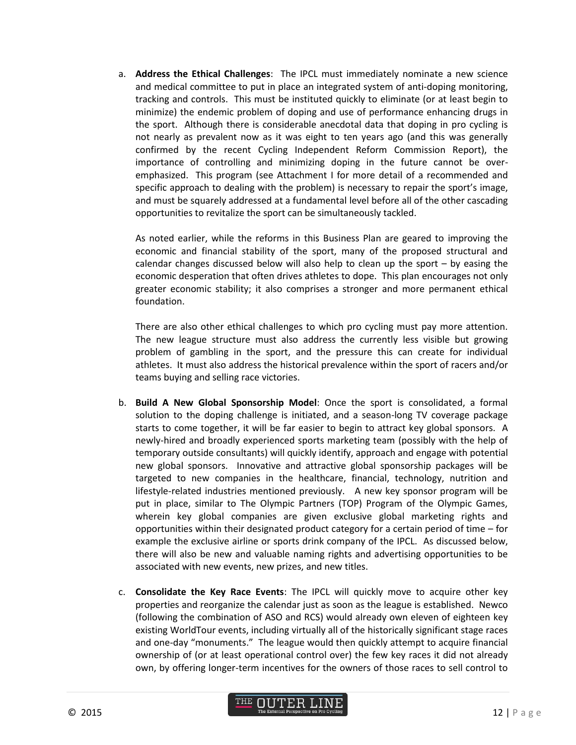a. **Address the Ethical Challenges**: The IPCL must immediately nominate a new science and medical committee to put in place an integrated system of anti-doping monitoring, tracking and controls. This must be instituted quickly to eliminate (or at least begin to minimize) the endemic problem of doping and use of performance enhancing drugs in the sport. Although there is considerable anecdotal data that doping in pro cycling is not nearly as prevalent now as it was eight to ten years ago (and this was generally confirmed by the recent Cycling Independent Reform Commission Report), the importance of controlling and minimizing doping in the future cannot be overemphasized. This program (see Attachment I for more detail of a recommended and specific approach to dealing with the problem) is necessary to repair the sport's image, and must be squarely addressed at a fundamental level before all of the other cascading opportunities to revitalize the sport can be simultaneously tackled.

As noted earlier, while the reforms in this Business Plan are geared to improving the economic and financial stability of the sport, many of the proposed structural and calendar changes discussed below will also help to clean up the sport – by easing the economic desperation that often drives athletes to dope. This plan encourages not only greater economic stability; it also comprises a stronger and more permanent ethical foundation.

There are also other ethical challenges to which pro cycling must pay more attention. The new league structure must also address the currently less visible but growing problem of gambling in the sport, and the pressure this can create for individual athletes. It must also address the historical prevalence within the sport of racers and/or teams buying and selling race victories.

- b. **Build A New Global Sponsorship Model**: Once the sport is consolidated, a formal solution to the doping challenge is initiated, and a season-long TV coverage package starts to come together, it will be far easier to begin to attract key global sponsors. A newly-hired and broadly experienced sports marketing team (possibly with the help of temporary outside consultants) will quickly identify, approach and engage with potential new global sponsors. Innovative and attractive global sponsorship packages will be targeted to new companies in the healthcare, financial, technology, nutrition and lifestyle-related industries mentioned previously. A new key sponsor program will be put in place, similar to The Olympic Partners (TOP) Program of the Olympic Games, wherein key global companies are given exclusive global marketing rights and opportunities within their designated product category for a certain period of time – for example the exclusive airline or sports drink company of the IPCL. As discussed below, there will also be new and valuable naming rights and advertising opportunities to be associated with new events, new prizes, and new titles.
- c. **Consolidate the Key Race Events**: The IPCL will quickly move to acquire other key properties and reorganize the calendar just as soon as the league is established. Newco (following the combination of ASO and RCS) would already own eleven of eighteen key existing WorldTour events, including virtually all of the historically significant stage races and one-day "monuments." The league would then quickly attempt to acquire financial ownership of (or at least operational control over) the few key races it did not already own, by offering longer-term incentives for the owners of those races to sell control to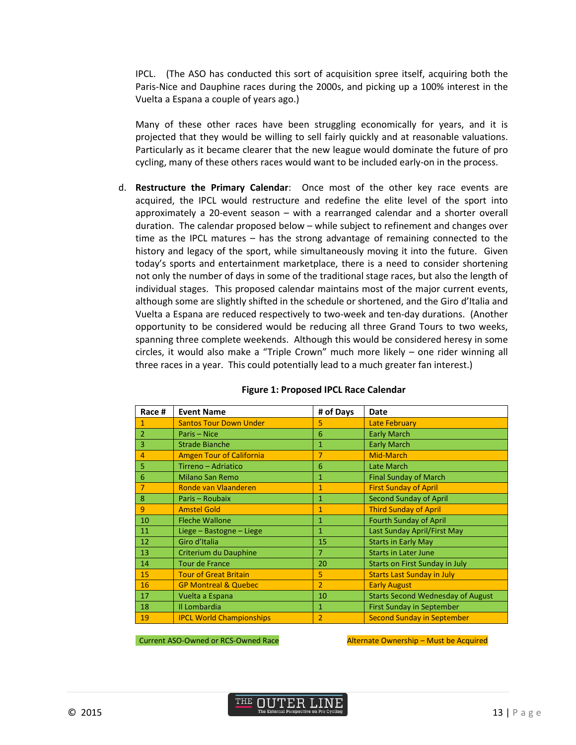IPCL. (The ASO has conducted this sort of acquisition spree itself, acquiring both the Paris-Nice and Dauphine races during the 2000s, and picking up a 100% interest in the Vuelta a Espana a couple of years ago.)

Many of these other races have been struggling economically for years, and it is projected that they would be willing to sell fairly quickly and at reasonable valuations. Particularly as it became clearer that the new league would dominate the future of pro cycling, many of these others races would want to be included early-on in the process.

d. **Restructure the Primary Calendar**: Once most of the other key race events are acquired, the IPCL would restructure and redefine the elite level of the sport into approximately a 20-event season – with a rearranged calendar and a shorter overall duration. The calendar proposed below – while subject to refinement and changes over time as the IPCL matures – has the strong advantage of remaining connected to the history and legacy of the sport, while simultaneously moving it into the future. Given today's sports and entertainment marketplace, there is a need to consider shortening not only the number of days in some of the traditional stage races, but also the length of individual stages. This proposed calendar maintains most of the major current events, although some are slightly shifted in the schedule or shortened, and the Giro d'Italia and Vuelta a Espana are reduced respectively to two-week and ten-day durations. (Another opportunity to be considered would be reducing all three Grand Tours to two weeks, spanning three complete weekends. Although this would be considered heresy in some circles, it would also make a "Triple Crown" much more likely – one rider winning all three races in a year. This could potentially lead to a much greater fan interest.)

| Race #         | <b>Event Name</b>               | # of Days      | Date                                     |
|----------------|---------------------------------|----------------|------------------------------------------|
| 1              | <b>Santos Tour Down Under</b>   | 5              | Late February                            |
| $\mathcal{P}$  | Paris - Nice                    | 6              | <b>Early March</b>                       |
| 3              | <b>Strade Bianche</b>           | 1              | <b>Early March</b>                       |
| 4              | <b>Amgen Tour of California</b> | 7              | Mid-March                                |
| 5              | Tirreno - Adriatico             | 6              | Late March                               |
| 6              | <b>Milano San Remo</b>          | 1              | <b>Final Sunday of March</b>             |
| $\overline{7}$ | Ronde van Vlaanderen            | $\mathbf{1}$   | <b>First Sunday of April</b>             |
| 8              | Paris - Roubaix                 | 1              | <b>Second Sunday of April</b>            |
| 9              | <b>Amstel Gold</b>              | 1              | <b>Third Sunday of April</b>             |
| 10             | <b>Fleche Wallone</b>           | $\mathbf{1}$   | <b>Fourth Sunday of April</b>            |
| 11             | Liege - Bastogne - Liege        | 1              | Last Sunday April/First May              |
| 12             | Giro d'Italia                   | 15             | <b>Starts in Early May</b>               |
| 13             | Criterium du Dauphine           | 7              | <b>Starts in Later June</b>              |
| 14             | <b>Tour de France</b>           | 20             | Starts on First Sunday in July           |
| 15             | <b>Tour of Great Britain</b>    | 5              | <b>Starts Last Sunday in July</b>        |
| 16             | <b>GP Montreal &amp; Quebec</b> | $\overline{2}$ | <b>Early August</b>                      |
| 17             | Vuelta a Espana                 | 10             | <b>Starts Second Wednesday of August</b> |
| 18             | Il Lombardia                    | 1              | <b>First Sunday in September</b>         |
| 19             | <b>IPCL World Championships</b> | $\overline{2}$ | <b>Second Sunday in September</b>        |

#### **Figure 1: Proposed IPCL Race Calendar**

Current ASO-Owned or RCS-Owned Race Alternate Ownership – Must be Acquired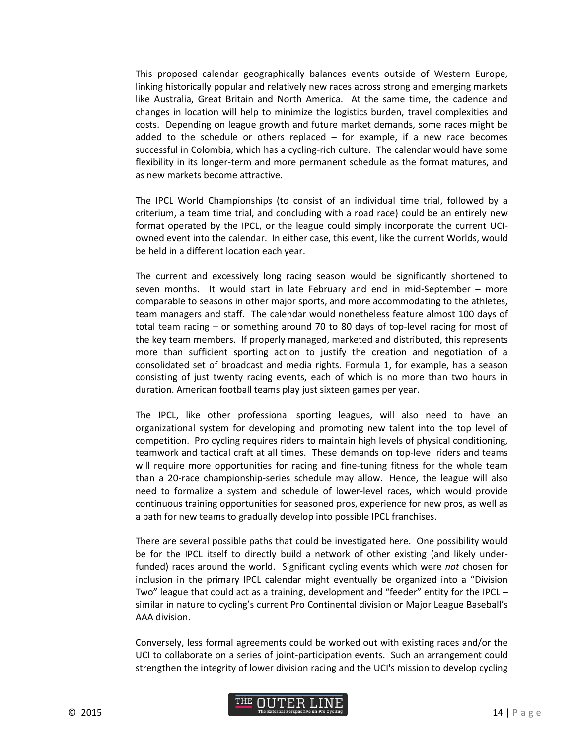This proposed calendar geographically balances events outside of Western Europe, linking historically popular and relatively new races across strong and emerging markets like Australia, Great Britain and North America. At the same time, the cadence and changes in location will help to minimize the logistics burden, travel complexities and costs. Depending on league growth and future market demands, some races might be added to the schedule or others replaced  $-$  for example, if a new race becomes successful in Colombia, which has a cycling-rich culture. The calendar would have some flexibility in its longer-term and more permanent schedule as the format matures, and as new markets become attractive.

The IPCL World Championships (to consist of an individual time trial, followed by a criterium, a team time trial, and concluding with a road race) could be an entirely new format operated by the IPCL, or the league could simply incorporate the current UCIowned event into the calendar. In either case, this event, like the current Worlds, would be held in a different location each year.

The current and excessively long racing season would be significantly shortened to seven months. It would start in late February and end in mid-September – more comparable to seasons in other major sports, and more accommodating to the athletes, team managers and staff. The calendar would nonetheless feature almost 100 days of total team racing – or something around 70 to 80 days of top-level racing for most of the key team members. If properly managed, marketed and distributed, this represents more than sufficient sporting action to justify the creation and negotiation of a consolidated set of broadcast and media rights. Formula 1, for example, has a season consisting of just twenty racing events, each of which is no more than two hours in duration. American football teams play just sixteen games per year.

The IPCL, like other professional sporting leagues, will also need to have an organizational system for developing and promoting new talent into the top level of competition. Pro cycling requires riders to maintain high levels of physical conditioning, teamwork and tactical craft at all times. These demands on top-level riders and teams will require more opportunities for racing and fine-tuning fitness for the whole team than a 20-race championship-series schedule may allow. Hence, the league will also need to formalize a system and schedule of lower-level races, which would provide continuous training opportunities for seasoned pros, experience for new pros, as well as a path for new teams to gradually develop into possible IPCL franchises.

There are several possible paths that could be investigated here. One possibility would be for the IPCL itself to directly build a network of other existing (and likely underfunded) races around the world. Significant cycling events which were *not* chosen for inclusion in the primary IPCL calendar might eventually be organized into a "Division Two" league that could act as a training, development and "feeder" entity for the IPCL – similar in nature to cycling's current Pro Continental division or Major League Baseball's AAA division.

Conversely, less formal agreements could be worked out with existing races and/or the UCI to collaborate on a series of joint-participation events. Such an arrangement could strengthen the integrity of lower division racing and the UCI's mission to develop cycling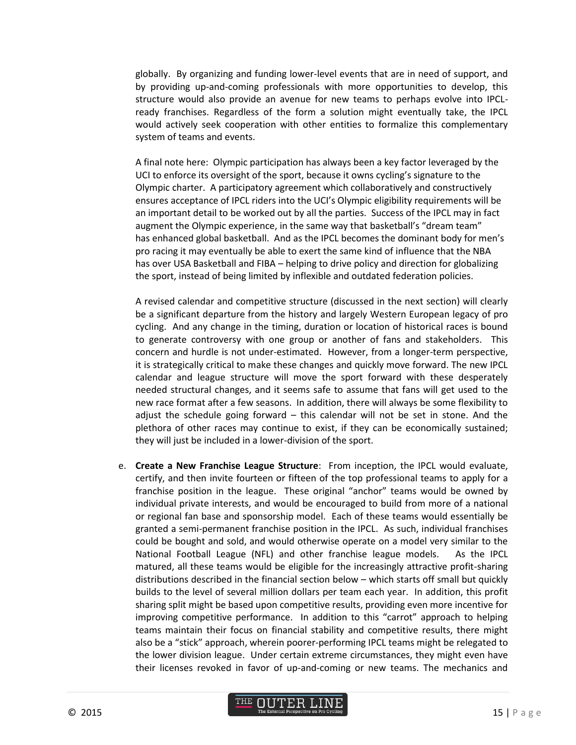globally. By organizing and funding lower-level events that are in need of support, and by providing up-and-coming professionals with more opportunities to develop, this structure would also provide an avenue for new teams to perhaps evolve into IPCLready franchises. Regardless of the form a solution might eventually take, the IPCL would actively seek cooperation with other entities to formalize this complementary system of teams and events.

A final note here: Olympic participation has always been a key factor leveraged by the UCI to enforce its oversight of the sport, because it owns cycling's signature to the Olympic charter. A participatory agreement which collaboratively and constructively ensures acceptance of IPCL riders into the UCI's Olympic eligibility requirements will be an important detail to be worked out by all the parties. Success of the IPCL may in fact augment the Olympic experience, in the same way that basketball's "dream team" has enhanced global basketball. And as the IPCL becomes the dominant body for men's pro racing it may eventually be able to exert the same kind of influence that the NBA has over USA Basketball and FIBA – helping to drive policy and direction for globalizing the sport, instead of being limited by inflexible and outdated federation policies.

A revised calendar and competitive structure (discussed in the next section) will clearly be a significant departure from the history and largely Western European legacy of pro cycling. And any change in the timing, duration or location of historical races is bound to generate controversy with one group or another of fans and stakeholders. This concern and hurdle is not under-estimated. However, from a longer-term perspective, it is strategically critical to make these changes and quickly move forward. The new IPCL calendar and league structure will move the sport forward with these desperately needed structural changes, and it seems safe to assume that fans will get used to the new race format after a few seasons. In addition, there will always be some flexibility to adjust the schedule going forward – this calendar will not be set in stone. And the plethora of other races may continue to exist, if they can be economically sustained; they will just be included in a lower-division of the sport.

e. **Create a New Franchise League Structure**: From inception, the IPCL would evaluate, certify, and then invite fourteen or fifteen of the top professional teams to apply for a franchise position in the league. These original "anchor" teams would be owned by individual private interests, and would be encouraged to build from more of a national or regional fan base and sponsorship model. Each of these teams would essentially be granted a semi-permanent franchise position in the IPCL. As such, individual franchises could be bought and sold, and would otherwise operate on a model very similar to the National Football League (NFL) and other franchise league models. As the IPCL matured, all these teams would be eligible for the increasingly attractive profit-sharing distributions described in the financial section below – which starts off small but quickly builds to the level of several million dollars per team each year. In addition, this profit sharing split might be based upon competitive results, providing even more incentive for improving competitive performance. In addition to this "carrot" approach to helping teams maintain their focus on financial stability and competitive results, there might also be a "stick" approach, wherein poorer-performing IPCL teams might be relegated to the lower division league. Under certain extreme circumstances, they might even have their licenses revoked in favor of up-and-coming or new teams. The mechanics and

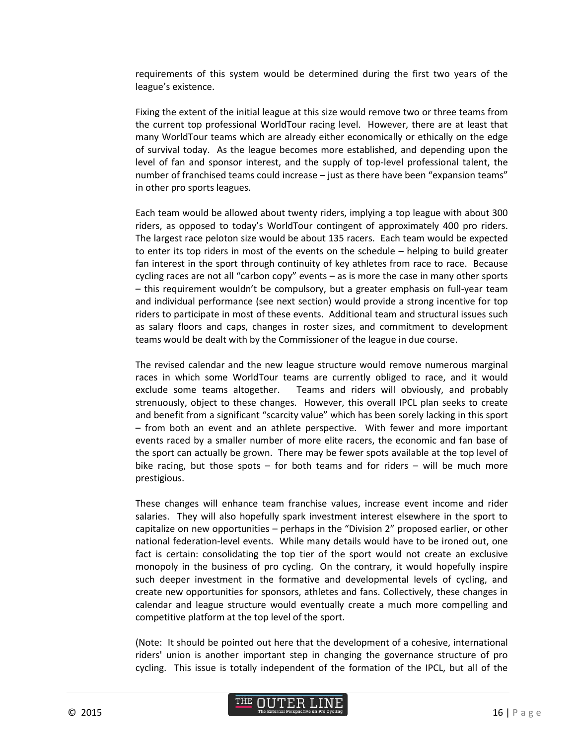requirements of this system would be determined during the first two years of the league's existence.

Fixing the extent of the initial league at this size would remove two or three teams from the current top professional WorldTour racing level. However, there are at least that many WorldTour teams which are already either economically or ethically on the edge of survival today. As the league becomes more established, and depending upon the level of fan and sponsor interest, and the supply of top-level professional talent, the number of franchised teams could increase – just as there have been "expansion teams" in other pro sports leagues.

Each team would be allowed about twenty riders, implying a top league with about 300 riders, as opposed to today's WorldTour contingent of approximately 400 pro riders. The largest race peloton size would be about 135 racers. Each team would be expected to enter its top riders in most of the events on the schedule – helping to build greater fan interest in the sport through continuity of key athletes from race to race. Because cycling races are not all "carbon copy" events – as is more the case in many other sports – this requirement wouldn't be compulsory, but a greater emphasis on full-year team and individual performance (see next section) would provide a strong incentive for top riders to participate in most of these events. Additional team and structural issues such as salary floors and caps, changes in roster sizes, and commitment to development teams would be dealt with by the Commissioner of the league in due course.

The revised calendar and the new league structure would remove numerous marginal races in which some WorldTour teams are currently obliged to race, and it would exclude some teams altogether. Teams and riders will obviously, and probably strenuously, object to these changes. However, this overall IPCL plan seeks to create and benefit from a significant "scarcity value" which has been sorely lacking in this sport – from both an event and an athlete perspective. With fewer and more important events raced by a smaller number of more elite racers, the economic and fan base of the sport can actually be grown. There may be fewer spots available at the top level of bike racing, but those spots – for both teams and for riders – will be much more prestigious.

These changes will enhance team franchise values, increase event income and rider salaries. They will also hopefully spark investment interest elsewhere in the sport to capitalize on new opportunities – perhaps in the "Division 2" proposed earlier, or other national federation-level events. While many details would have to be ironed out, one fact is certain: consolidating the top tier of the sport would not create an exclusive monopoly in the business of pro cycling. On the contrary, it would hopefully inspire such deeper investment in the formative and developmental levels of cycling, and create new opportunities for sponsors, athletes and fans. Collectively, these changes in calendar and league structure would eventually create a much more compelling and competitive platform at the top level of the sport.

(Note: It should be pointed out here that the development of a cohesive, international riders' union is another important step in changing the governance structure of pro cycling. This issue is totally independent of the formation of the IPCL, but all of the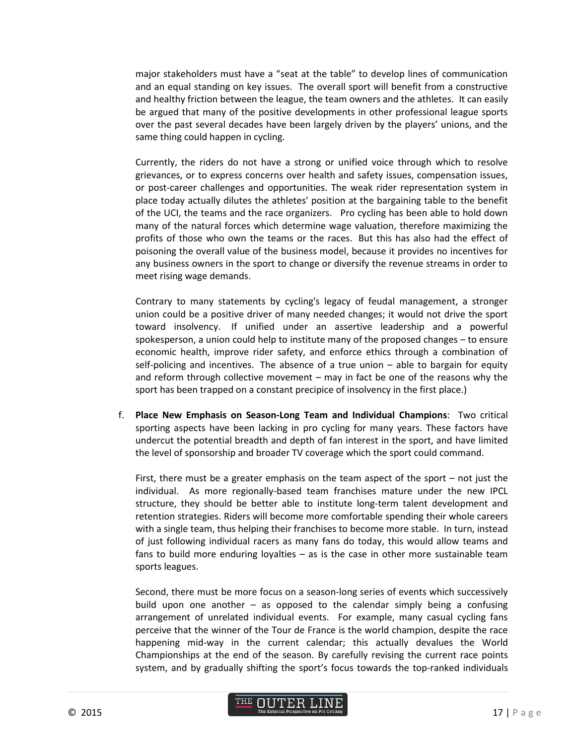major stakeholders must have a "seat at the table" to develop lines of communication and an equal standing on key issues. The overall sport will benefit from a constructive and healthy friction between the league, the team owners and the athletes. It can easily be argued that many of the positive developments in other professional league sports over the past several decades have been largely driven by the players' unions, and the same thing could happen in cycling.

Currently, the riders do not have a strong or unified voice through which to resolve grievances, or to express concerns over health and safety issues, compensation issues, or post-career challenges and opportunities. The weak rider representation system in place today actually dilutes the athletes' position at the bargaining table to the benefit of the UCI, the teams and the race organizers. Pro cycling has been able to hold down many of the natural forces which determine wage valuation, therefore maximizing the profits of those who own the teams or the races. But this has also had the effect of poisoning the overall value of the business model, because it provides no incentives for any business owners in the sport to change or diversify the revenue streams in order to meet rising wage demands.

Contrary to many statements by cycling's legacy of feudal management, a stronger union could be a positive driver of many needed changes; it would not drive the sport toward insolvency. If unified under an assertive leadership and a powerful spokesperson, a union could help to institute many of the proposed changes – to ensure economic health, improve rider safety, and enforce ethics through a combination of self-policing and incentives. The absence of a true union – able to bargain for equity and reform through collective movement – may in fact be one of the reasons why the sport has been trapped on a constant precipice of insolvency in the first place.)

f. **Place New Emphasis on Season-Long Team and Individual Champions**: Two critical sporting aspects have been lacking in pro cycling for many years. These factors have undercut the potential breadth and depth of fan interest in the sport, and have limited the level of sponsorship and broader TV coverage which the sport could command.

First, there must be a greater emphasis on the team aspect of the sport – not just the individual. As more regionally-based team franchises mature under the new IPCL structure, they should be better able to institute long-term talent development and retention strategies. Riders will become more comfortable spending their whole careers with a single team, thus helping their franchises to become more stable. In turn, instead of just following individual racers as many fans do today, this would allow teams and fans to build more enduring loyalties – as is the case in other more sustainable team sports leagues.

Second, there must be more focus on a season-long series of events which successively build upon one another – as opposed to the calendar simply being a confusing arrangement of unrelated individual events. For example, many casual cycling fans perceive that the winner of the Tour de France is the world champion, despite the race happening mid-way in the current calendar; this actually devalues the World Championships at the end of the season. By carefully revising the current race points system, and by gradually shifting the sport's focus towards the top-ranked individuals

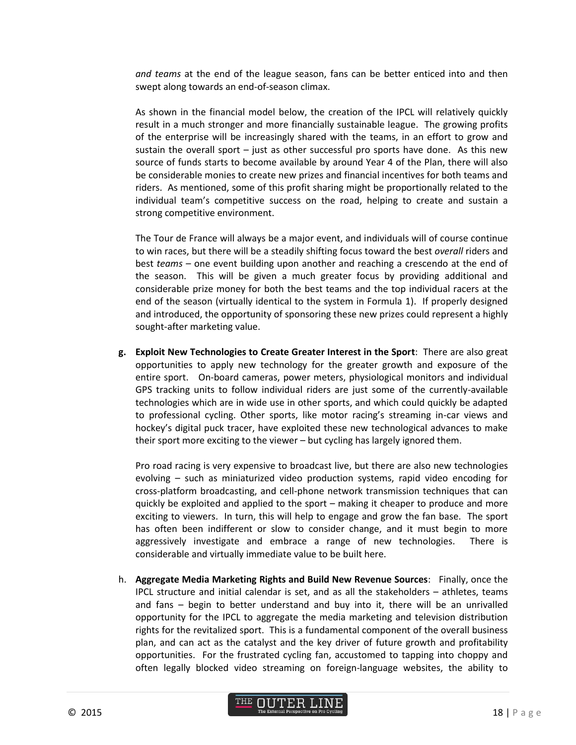*and teams* at the end of the league season, fans can be better enticed into and then swept along towards an end-of-season climax.

As shown in the financial model below, the creation of the IPCL will relatively quickly result in a much stronger and more financially sustainable league. The growing profits of the enterprise will be increasingly shared with the teams, in an effort to grow and sustain the overall sport – just as other successful pro sports have done. As this new source of funds starts to become available by around Year 4 of the Plan, there will also be considerable monies to create new prizes and financial incentives for both teams and riders. As mentioned, some of this profit sharing might be proportionally related to the individual team's competitive success on the road, helping to create and sustain a strong competitive environment.

The Tour de France will always be a major event, and individuals will of course continue to win races, but there will be a steadily shifting focus toward the best *overall* riders and best *teams* – one event building upon another and reaching a crescendo at the end of the season. This will be given a much greater focus by providing additional and considerable prize money for both the best teams and the top individual racers at the end of the season (virtually identical to the system in Formula 1). If properly designed and introduced, the opportunity of sponsoring these new prizes could represent a highly sought-after marketing value.

**g. Exploit New Technologies to Create Greater Interest in the Sport**: There are also great opportunities to apply new technology for the greater growth and exposure of the entire sport. On-board cameras, power meters, physiological monitors and individual GPS tracking units to follow individual riders are just some of the currently-available technologies which are in wide use in other sports, and which could quickly be adapted to professional cycling. Other sports, like motor racing's streaming in-car views and hockey's digital puck tracer, have exploited these new technological advances to make their sport more exciting to the viewer – but cycling has largely ignored them.

Pro road racing is very expensive to broadcast live, but there are also new technologies evolving – such as miniaturized video production systems, rapid video encoding for cross-platform broadcasting, and cell-phone network transmission techniques that can quickly be exploited and applied to the sport – making it cheaper to produce and more exciting to viewers. In turn, this will help to engage and grow the fan base. The sport has often been indifferent or slow to consider change, and it must begin to more aggressively investigate and embrace a range of new technologies. There is considerable and virtually immediate value to be built here.

h. **Aggregate Media Marketing Rights and Build New Revenue Sources**: Finally, once the IPCL structure and initial calendar is set, and as all the stakeholders – athletes, teams and fans – begin to better understand and buy into it, there will be an unrivalled opportunity for the IPCL to aggregate the media marketing and television distribution rights for the revitalized sport. This is a fundamental component of the overall business plan, and can act as the catalyst and the key driver of future growth and profitability opportunities. For the frustrated cycling fan, accustomed to tapping into choppy and often legally blocked video streaming on foreign-language websites, the ability to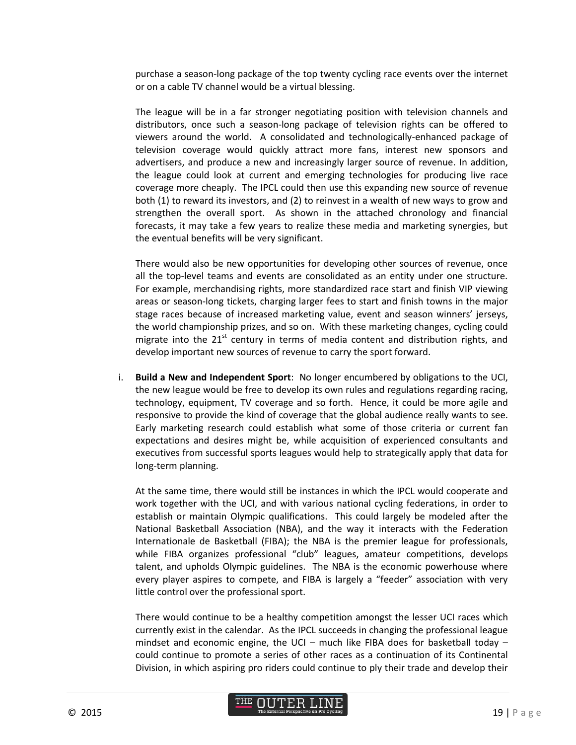purchase a season-long package of the top twenty cycling race events over the internet or on a cable TV channel would be a virtual blessing.

The league will be in a far stronger negotiating position with television channels and distributors, once such a season-long package of television rights can be offered to viewers around the world. A consolidated and technologically-enhanced package of television coverage would quickly attract more fans, interest new sponsors and advertisers, and produce a new and increasingly larger source of revenue. In addition, the league could look at current and emerging technologies for producing live race coverage more cheaply. The IPCL could then use this expanding new source of revenue both (1) to reward its investors, and (2) to reinvest in a wealth of new ways to grow and strengthen the overall sport. As shown in the attached chronology and financial forecasts, it may take a few years to realize these media and marketing synergies, but the eventual benefits will be very significant.

There would also be new opportunities for developing other sources of revenue, once all the top-level teams and events are consolidated as an entity under one structure. For example, merchandising rights, more standardized race start and finish VIP viewing areas or season-long tickets, charging larger fees to start and finish towns in the major stage races because of increased marketing value, event and season winners' jerseys, the world championship prizes, and so on. With these marketing changes, cycling could migrate into the  $21<sup>st</sup>$  century in terms of media content and distribution rights, and develop important new sources of revenue to carry the sport forward.

i. **Build a New and Independent Sport**: No longer encumbered by obligations to the UCI, the new league would be free to develop its own rules and regulations regarding racing, technology, equipment, TV coverage and so forth. Hence, it could be more agile and responsive to provide the kind of coverage that the global audience really wants to see. Early marketing research could establish what some of those criteria or current fan expectations and desires might be, while acquisition of experienced consultants and executives from successful sports leagues would help to strategically apply that data for long-term planning.

At the same time, there would still be instances in which the IPCL would cooperate and work together with the UCI, and with various national cycling federations, in order to establish or maintain Olympic qualifications. This could largely be modeled after the National Basketball Association (NBA), and the way it interacts with the Federation Internationale de Basketball (FIBA); the NBA is the premier league for professionals, while FIBA organizes professional "club" leagues, amateur competitions, develops talent, and upholds Olympic guidelines. The NBA is the economic powerhouse where every player aspires to compete, and FIBA is largely a "feeder" association with very little control over the professional sport.

There would continue to be a healthy competition amongst the lesser UCI races which currently exist in the calendar. As the IPCL succeeds in changing the professional league mindset and economic engine, the UCI – much like FIBA does for basketball today – could continue to promote a series of other races as a continuation of its Continental Division, in which aspiring pro riders could continue to ply their trade and develop their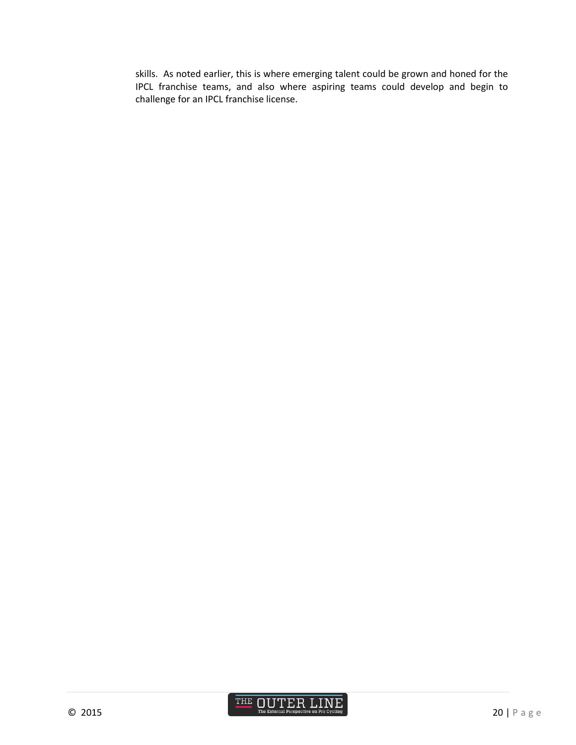skills. As noted earlier, this is where emerging talent could be grown and honed for the IPCL franchise teams, and also where aspiring teams could develop and begin to challenge for an IPCL franchise license.

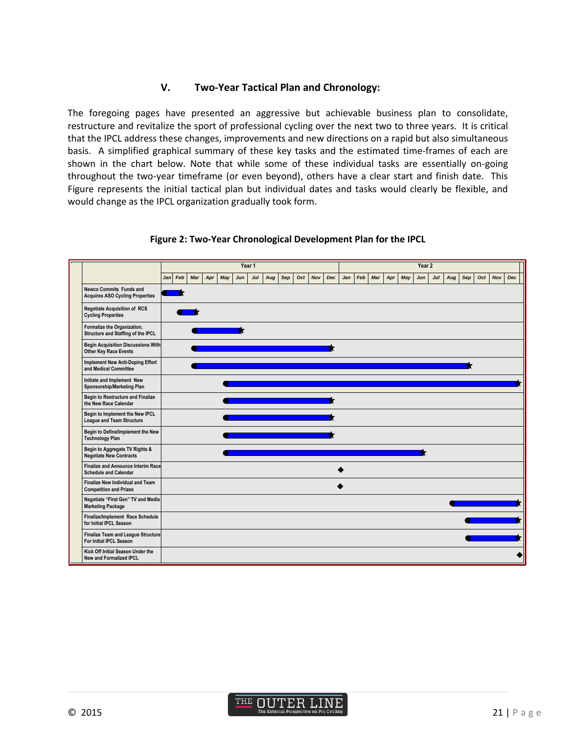### **V. Two-Year Tactical Plan and Chronology:**

The foregoing pages have presented an aggressive but achievable business plan to consolidate, restructure and revitalize the sport of professional cycling over the next two to three years. It is critical that the IPCL address these changes, improvements and new directions on a rapid but also simultaneous basis. A simplified graphical summary of these key tasks and the estimated time-frames of each are shown in the chart below. Note that while some of these individual tasks are essentially on-going throughout the two-year timeframe (or even beyond), others have a clear start and finish date. This Figure represents the initial tactical plan but individual dates and tasks would clearly be flexible, and would change as the IPCL organization gradually took form.

|                                                                          |  | Year 1  |     |     |     |     |        |     |     |     |     | Year 2     |     |     |     |     |     |     |     |     |     |     |     |     |
|--------------------------------------------------------------------------|--|---------|-----|-----|-----|-----|--------|-----|-----|-----|-----|------------|-----|-----|-----|-----|-----|-----|-----|-----|-----|-----|-----|-----|
|                                                                          |  | Jan Feb | Mar | Apr | May | Jun | $J$ ul | Aug | Sep | Oct | Nov | <b>Dec</b> | Jan | Feb | Mar | Apr | May | Jun | Jul | Aug | Sep | Oct | Nov | Dec |
| <b>Newco Commits Funds and</b><br><b>Acquires ASO Cycling Properties</b> |  |         |     |     |     |     |        |     |     |     |     |            |     |     |     |     |     |     |     |     |     |     |     |     |
| <b>Negotiate Acquisition of RCS</b><br><b>Cycling Properties</b>         |  |         |     |     |     |     |        |     |     |     |     |            |     |     |     |     |     |     |     |     |     |     |     |     |
| Formalize the Organization,<br>Structure and Staffing of the IPCL        |  |         |     |     |     |     |        |     |     |     |     |            |     |     |     |     |     |     |     |     |     |     |     |     |
| <b>Begin Acquisition Discussions With</b><br>Other Key Race Events       |  |         |     |     |     |     |        |     |     |     |     |            |     |     |     |     |     |     |     |     |     |     |     |     |
| <b>Implement New Anti-Doping Effort</b><br>and Medical Committee         |  |         |     |     |     |     |        |     |     |     |     |            |     |     |     |     |     |     |     |     |     |     |     |     |
| Initiate and Implement New<br>Sponsorship/Marketing Plan                 |  |         |     |     |     |     |        |     |     |     |     |            |     |     |     |     |     |     |     |     |     |     |     |     |
| <b>Begin to Restructure and Finalize</b><br>the New Race Calendar        |  |         |     |     |     |     |        |     |     |     |     |            |     |     |     |     |     |     |     |     |     |     |     |     |
| Begin to Implement the New IPCL<br><b>League and Team Structure</b>      |  |         |     |     |     |     |        |     |     |     |     |            |     |     |     |     |     |     |     |     |     |     |     |     |
| Begin to Define/Implement the New<br><b>Technology Plan</b>              |  |         |     |     |     |     |        |     |     |     |     |            |     |     |     |     |     |     |     |     |     |     |     |     |
| Begin to Aggregate TV Rights &<br><b>Negotiate New Contracts</b>         |  |         |     |     |     |     |        |     |     |     |     |            |     |     |     |     |     |     |     |     |     |     |     |     |
| Finalize and Announce Interim Race<br><b>Schedule and Calendar</b>       |  |         |     |     |     |     |        |     |     |     |     |            |     |     |     |     |     |     |     |     |     |     |     |     |
| <b>Finalize New Individual and Team</b><br><b>Competition and Prizes</b> |  |         |     |     |     |     |        |     |     |     |     |            |     |     |     |     |     |     |     |     |     |     |     |     |
| Negotiate "First Gen" TV and Media<br><b>Marketing Package</b>           |  |         |     |     |     |     |        |     |     |     |     |            |     |     |     |     |     |     |     |     |     |     |     |     |
| Finalize/Implement Race Schedule<br>for Initial IPCL Season              |  |         |     |     |     |     |        |     |     |     |     |            |     |     |     |     |     |     |     |     |     |     |     |     |
| <b>Finalize Team and League Structure</b><br>For Initial IPCL Season     |  |         |     |     |     |     |        |     |     |     |     |            |     |     |     |     |     |     |     |     |     |     |     |     |
| Kick Off Initial Season Under the<br><b>New and Formalized IPCL</b>      |  |         |     |     |     |     |        |     |     |     |     |            |     |     |     |     |     |     |     |     |     |     |     |     |

#### **Figure 2: Two-Year Chronological Development Plan for the IPCL**

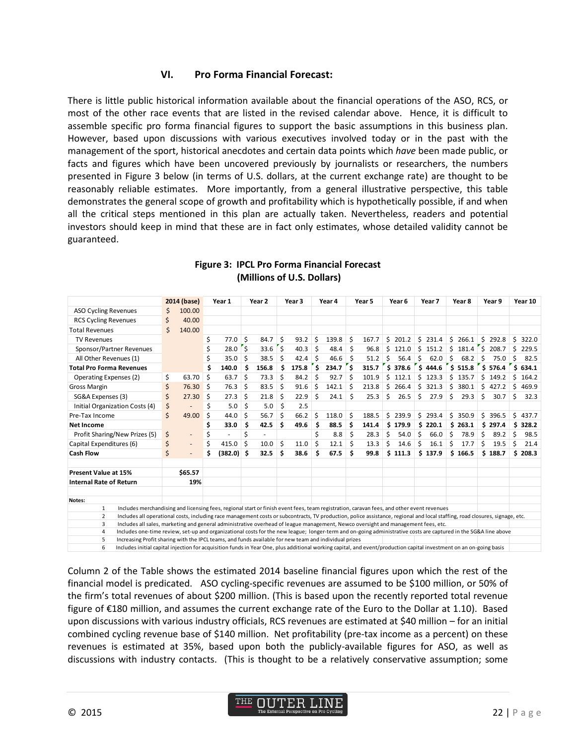#### **VI. Pro Forma Financial Forecast:**

There is little public historical information available about the financial operations of the ASO, RCS, or most of the other race events that are listed in the revised calendar above. Hence, it is difficult to assemble specific pro forma financial figures to support the basic assumptions in this business plan. However, based upon discussions with various executives involved today or in the past with the management of the sport, historical anecdotes and certain data points which *have* been made public, or facts and figures which have been uncovered previously by journalists or researchers, the numbers presented in Figure 3 below (in terms of U.S. dollars, at the current exchange rate) are thought to be reasonably reliable estimates. More importantly, from a general illustrative perspective, this table demonstrates the general scope of growth and profitability which is hypothetically possible, if and when all the critical steps mentioned in this plan are actually taken. Nevertheless, readers and potential investors should keep in mind that these are in fact only estimates, whose detailed validity cannot be guaranteed.

|                                                                                                                                                                                   | 2014 (base) |                | Year 1 |           |    | Year 2 | Year <sub>3</sub> |       | Year 4 |       |     | Year 5 | Year 6 |       |    | Year 7  | Year 8 |                         | Year 9 |         |    | Year 10 |  |
|-----------------------------------------------------------------------------------------------------------------------------------------------------------------------------------|-------------|----------------|--------|-----------|----|--------|-------------------|-------|--------|-------|-----|--------|--------|-------|----|---------|--------|-------------------------|--------|---------|----|---------|--|
| <b>ASO Cycling Revenues</b>                                                                                                                                                       |             | 100.00         |        |           |    |        |                   |       |        |       |     |        |        |       |    |         |        |                         |        |         |    |         |  |
| <b>RCS Cycling Revenues</b>                                                                                                                                                       |             | 40.00          |        |           |    |        |                   |       |        |       |     |        |        |       |    |         |        |                         |        |         |    |         |  |
| <b>Total Revenues</b>                                                                                                                                                             |             | 140.00         |        |           |    |        |                   |       |        |       |     |        |        |       |    |         |        |                         |        |         |    |         |  |
| <b>TV Revenues</b>                                                                                                                                                                |             |                | \$     | 77.0      | \$ | 84.7   | Ŝ.                | 93.2  | Ś.     | 139.8 | Ś   | 167.7  | Ś.     | 201.2 |    | \$231.4 |        | \$266.1                 |        | 5292.8  | Ś. | 322.0   |  |
| Sponsor/Partner Revenues                                                                                                                                                          |             |                | \$     | $28.0$ \$ |    | 33.6   | '\$               | 40.3  | \$     | 48.4  | \$  | 96.8   | \$     | 121.0 |    | \$151.2 |        | $$181.4 \;   \; $208.7$ |        |         | Ś. | 229.5   |  |
| All Other Revenues (1)                                                                                                                                                            |             |                |        | 35.0      | Ŝ. | 38.5   | Ś                 | 42.4  | \$     | 46.6  | Ŝ   | 51.2   | Ś      | 56.4  | Ś  | 62.0    | Ś      | 68.2                    | Ś      | 75.0    | Ś  | 82.5    |  |
| <b>Total Pro Forma Revenues</b>                                                                                                                                                   |             |                | \$     | 140.0     | \$ | 156.8  | Ś                 | 175.8 | \$     | 234.7 | ľ\$ | 315.7  | \$     | 378.6 | \$ | 444.6   |        | \$515.8                 |        | \$576.4 |    | \$634.1 |  |
| <b>Operating Expenses (2)</b>                                                                                                                                                     |             | 63.70          | \$     | 63.7      | \$ | 73.3   | Ś                 | 84.2  | Ś      | 92.7  | Ś   | 101.9  | Ś      | 112.1 | Ś  | 123.3   | Ś      | 135.7                   | Ś      | 149.2   | Ś  | 164.2   |  |
| <b>Gross Margin</b>                                                                                                                                                               |             | 76.30          | Ŝ.     | 76.3      | \$ | 83.5   | Ś                 | 91.6  | Ś      | 142.1 | Ś   | 213.8  | Ś      | 266.4 | Ś. | 321.3   | \$     | 380.1                   | Ś      | 427.2   | Ś  | 469.9   |  |
| SG&A Expenses (3)                                                                                                                                                                 |             | 27.30          | Ŝ.     | 27.3      | \$ | 21.8   | Ś                 | 22.9  | Ś      | 24.1  | Ś   | 25.3   | Ś      | 26.5  | Ś. | 27.9    | Ś      | 29.3                    | Ŝ.     | 30.7    | Ś  | 32.3    |  |
| Initial Organization Costs (4)                                                                                                                                                    |             |                | \$     | 5.0       | \$ | 5.0    | Ŝ.                | 2.5   |        |       |     |        |        |       |    |         |        |                         |        |         |    |         |  |
| Pre-Tax Income                                                                                                                                                                    |             | 49.00          | \$     | 44.0      | \$ | 56.7   | Ś                 | 66.2  | Ś      | 118.0 | .S  | 188.5  | \$     | 239.9 | \$ | 293.4   | \$     | 350.9                   | \$     | 396.5   | Ś. | 437.7   |  |
| Net Income                                                                                                                                                                        |             |                | \$     | 33.0      | \$ | 42.5   | Ś                 | 49.6  | \$     | 88.5  | Ś   | 141.4  | \$.    | 179.9 | \$ | 220.1   |        | \$263.1                 |        | \$297.4 |    | \$328.2 |  |
| Profit Sharing/New Prizes (5)                                                                                                                                                     |             |                | \$     |           | \$ |        |                   |       | Ś      | 8.8   | Ś   | 28.3   | \$     | 54.0  | Ś  | 66.0    | Ś      | 78.9                    | Ś      | 89.2    | Ś  | 98.5    |  |
| Capital Expenditures (6)                                                                                                                                                          | \$          |                | \$     | 415.0     | Ś. | 10.0   | Ś                 | 11.0  | \$     | 12.1  | \$  | 13.3   | Ś      | 14.6  | \$ | 16.1    | Ś      | 17.7                    | \$     | 19.5    | Ś  | 21.4    |  |
| <b>Cash Flow</b>                                                                                                                                                                  | \$          | $\overline{a}$ | \$     | (382.0)   | Ŝ. | 32.5   | Ś                 | 38.6  | Ś      | 67.5  | Ś   | 99.8   | \$     | 111.3 |    | \$137.9 |        | \$166.5                 |        | \$188.7 |    | \$208.3 |  |
| Present Value at 15%                                                                                                                                                              |             | \$65.57        |        |           |    |        |                   |       |        |       |     |        |        |       |    |         |        |                         |        |         |    |         |  |
| <b>Internal Rate of Return</b>                                                                                                                                                    |             | 19%            |        |           |    |        |                   |       |        |       |     |        |        |       |    |         |        |                         |        |         |    |         |  |
|                                                                                                                                                                                   |             |                |        |           |    |        |                   |       |        |       |     |        |        |       |    |         |        |                         |        |         |    |         |  |
| Notes:                                                                                                                                                                            |             |                |        |           |    |        |                   |       |        |       |     |        |        |       |    |         |        |                         |        |         |    |         |  |
| Includes merchandising and licensing fees, regional start or finish event fees, team registration, caravan fees, and other event revenues<br>1                                    |             |                |        |           |    |        |                   |       |        |       |     |        |        |       |    |         |        |                         |        |         |    |         |  |
| Includes all operational costs, including race management costs or subcontracts, TV production, police assistance, regional and local staffing, road closures, signage, etc.<br>2 |             |                |        |           |    |        |                   |       |        |       |     |        |        |       |    |         |        |                         |        |         |    |         |  |
| 3<br>Includes all sales, marketing and general administrative overhead of league management, Newco oversight and management fees, etc.                                            |             |                |        |           |    |        |                   |       |        |       |     |        |        |       |    |         |        |                         |        |         |    |         |  |
| Includes one-time review, set-up and organizational costs for the new league; longer-term and on-going administrative costs are captured in the SG&A line above<br>$\overline{4}$ |             |                |        |           |    |        |                   |       |        |       |     |        |        |       |    |         |        |                         |        |         |    |         |  |
| Increasing Profit sharing with the IPCL teams, and funds available for new team and individual prizes<br>5                                                                        |             |                |        |           |    |        |                   |       |        |       |     |        |        |       |    |         |        |                         |        |         |    |         |  |
| 6<br>Includes initial capital injection for acquisition funds in Year One, plus additional working capital, and event/production capital investment on an on-going basis          |             |                |        |           |    |        |                   |       |        |       |     |        |        |       |    |         |        |                         |        |         |    |         |  |

#### **Figure 3: IPCL Pro Forma Financial Forecast (Millions of U.S. Dollars)**

Column 2 of the Table shows the estimated 2014 baseline financial figures upon which the rest of the financial model is predicated. ASO cycling-specific revenues are assumed to be \$100 million, or 50% of the firm's total revenues of about \$200 million. (This is based upon the recently reported total revenue figure of €180 million, and assumes the current exchange rate of the Euro to the Dollar at 1.10). Based upon discussions with various industry officials, RCS revenues are estimated at \$40 million – for an initial combined cycling revenue base of \$140 million. Net profitability (pre-tax income as a percent) on these revenues is estimated at 35%, based upon both the publicly-available figures for ASO, as well as discussions with industry contacts. (This is thought to be a relatively conservative assumption; some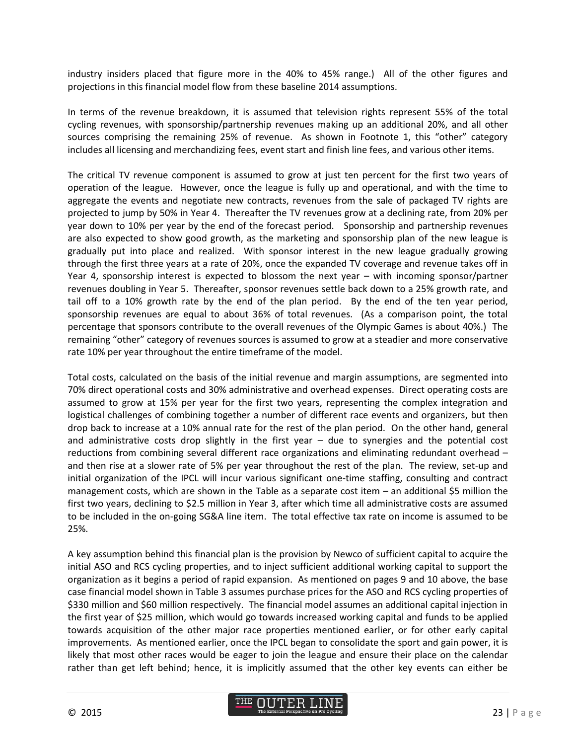industry insiders placed that figure more in the 40% to 45% range.) All of the other figures and projections in this financial model flow from these baseline 2014 assumptions.

In terms of the revenue breakdown, it is assumed that television rights represent 55% of the total cycling revenues, with sponsorship/partnership revenues making up an additional 20%, and all other sources comprising the remaining 25% of revenue. As shown in Footnote 1, this "other" category includes all licensing and merchandizing fees, event start and finish line fees, and various other items.

The critical TV revenue component is assumed to grow at just ten percent for the first two years of operation of the league. However, once the league is fully up and operational, and with the time to aggregate the events and negotiate new contracts, revenues from the sale of packaged TV rights are projected to jump by 50% in Year 4. Thereafter the TV revenues grow at a declining rate, from 20% per year down to 10% per year by the end of the forecast period. Sponsorship and partnership revenues are also expected to show good growth, as the marketing and sponsorship plan of the new league is gradually put into place and realized. With sponsor interest in the new league gradually growing through the first three years at a rate of 20%, once the expanded TV coverage and revenue takes off in Year 4, sponsorship interest is expected to blossom the next year – with incoming sponsor/partner revenues doubling in Year 5. Thereafter, sponsor revenues settle back down to a 25% growth rate, and tail off to a 10% growth rate by the end of the plan period. By the end of the ten year period, sponsorship revenues are equal to about 36% of total revenues. (As a comparison point, the total percentage that sponsors contribute to the overall revenues of the Olympic Games is about 40%.) The remaining "other" category of revenues sources is assumed to grow at a steadier and more conservative rate 10% per year throughout the entire timeframe of the model.

Total costs, calculated on the basis of the initial revenue and margin assumptions, are segmented into 70% direct operational costs and 30% administrative and overhead expenses. Direct operating costs are assumed to grow at 15% per year for the first two years, representing the complex integration and logistical challenges of combining together a number of different race events and organizers, but then drop back to increase at a 10% annual rate for the rest of the plan period. On the other hand, general and administrative costs drop slightly in the first year – due to synergies and the potential cost reductions from combining several different race organizations and eliminating redundant overhead – and then rise at a slower rate of 5% per year throughout the rest of the plan. The review, set-up and initial organization of the IPCL will incur various significant one-time staffing, consulting and contract management costs, which are shown in the Table as a separate cost item  $-$  an additional \$5 million the first two years, declining to \$2.5 million in Year 3, after which time all administrative costs are assumed to be included in the on-going SG&A line item. The total effective tax rate on income is assumed to be 25%.

A key assumption behind this financial plan is the provision by Newco of sufficient capital to acquire the initial ASO and RCS cycling properties, and to inject sufficient additional working capital to support the organization as it begins a period of rapid expansion. As mentioned on pages 9 and 10 above, the base case financial model shown in Table 3 assumes purchase prices for the ASO and RCS cycling properties of \$330 million and \$60 million respectively. The financial model assumes an additional capital injection in the first year of \$25 million, which would go towards increased working capital and funds to be applied towards acquisition of the other major race properties mentioned earlier, or for other early capital improvements. As mentioned earlier, once the IPCL began to consolidate the sport and gain power, it is likely that most other races would be eager to join the league and ensure their place on the calendar rather than get left behind; hence, it is implicitly assumed that the other key events can either be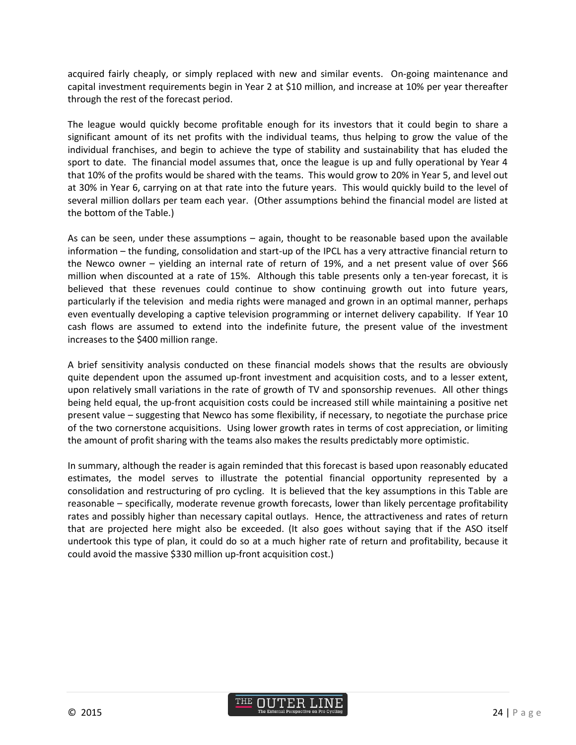acquired fairly cheaply, or simply replaced with new and similar events. On-going maintenance and capital investment requirements begin in Year 2 at \$10 million, and increase at 10% per year thereafter through the rest of the forecast period.

The league would quickly become profitable enough for its investors that it could begin to share a significant amount of its net profits with the individual teams, thus helping to grow the value of the individual franchises, and begin to achieve the type of stability and sustainability that has eluded the sport to date. The financial model assumes that, once the league is up and fully operational by Year 4 that 10% of the profits would be shared with the teams. This would grow to 20% in Year 5, and level out at 30% in Year 6, carrying on at that rate into the future years. This would quickly build to the level of several million dollars per team each year. (Other assumptions behind the financial model are listed at the bottom of the Table.)

As can be seen, under these assumptions – again, thought to be reasonable based upon the available information – the funding, consolidation and start-up of the IPCL has a very attractive financial return to the Newco owner – yielding an internal rate of return of 19%, and a net present value of over \$66 million when discounted at a rate of 15%. Although this table presents only a ten-year forecast, it is believed that these revenues could continue to show continuing growth out into future years, particularly if the television and media rights were managed and grown in an optimal manner, perhaps even eventually developing a captive television programming or internet delivery capability. If Year 10 cash flows are assumed to extend into the indefinite future, the present value of the investment increases to the \$400 million range.

A brief sensitivity analysis conducted on these financial models shows that the results are obviously quite dependent upon the assumed up-front investment and acquisition costs, and to a lesser extent, upon relatively small variations in the rate of growth of TV and sponsorship revenues. All other things being held equal, the up-front acquisition costs could be increased still while maintaining a positive net present value – suggesting that Newco has some flexibility, if necessary, to negotiate the purchase price of the two cornerstone acquisitions. Using lower growth rates in terms of cost appreciation, or limiting the amount of profit sharing with the teams also makes the results predictably more optimistic.

In summary, although the reader is again reminded that this forecast is based upon reasonably educated estimates, the model serves to illustrate the potential financial opportunity represented by a consolidation and restructuring of pro cycling. It is believed that the key assumptions in this Table are reasonable – specifically, moderate revenue growth forecasts, lower than likely percentage profitability rates and possibly higher than necessary capital outlays. Hence, the attractiveness and rates of return that are projected here might also be exceeded. (It also goes without saying that if the ASO itself undertook this type of plan, it could do so at a much higher rate of return and profitability, because it could avoid the massive \$330 million up-front acquisition cost.)

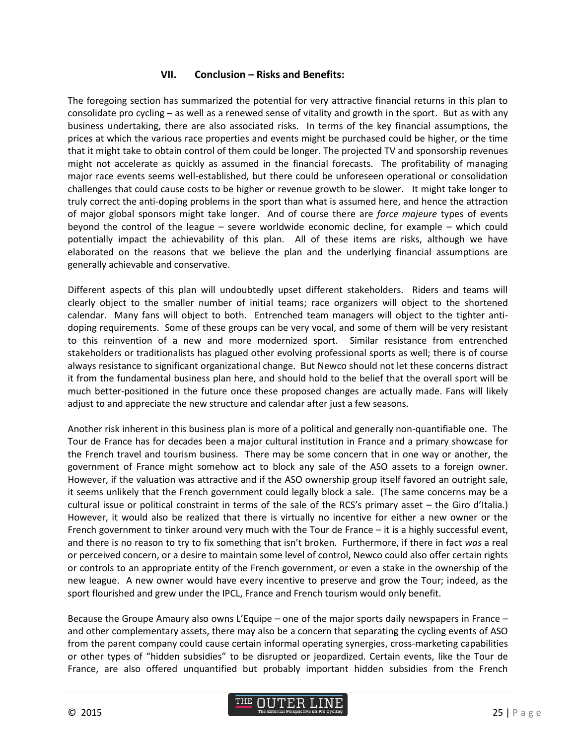#### **VII. Conclusion – Risks and Benefits:**

The foregoing section has summarized the potential for very attractive financial returns in this plan to consolidate pro cycling – as well as a renewed sense of vitality and growth in the sport. But as with any business undertaking, there are also associated risks. In terms of the key financial assumptions, the prices at which the various race properties and events might be purchased could be higher, or the time that it might take to obtain control of them could be longer. The projected TV and sponsorship revenues might not accelerate as quickly as assumed in the financial forecasts. The profitability of managing major race events seems well-established, but there could be unforeseen operational or consolidation challenges that could cause costs to be higher or revenue growth to be slower. It might take longer to truly correct the anti-doping problems in the sport than what is assumed here, and hence the attraction of major global sponsors might take longer. And of course there are *force majeure* types of events beyond the control of the league – severe worldwide economic decline, for example – which could potentially impact the achievability of this plan. All of these items are risks, although we have elaborated on the reasons that we believe the plan and the underlying financial assumptions are generally achievable and conservative.

Different aspects of this plan will undoubtedly upset different stakeholders. Riders and teams will clearly object to the smaller number of initial teams; race organizers will object to the shortened calendar. Many fans will object to both. Entrenched team managers will object to the tighter antidoping requirements. Some of these groups can be very vocal, and some of them will be very resistant to this reinvention of a new and more modernized sport. Similar resistance from entrenched stakeholders or traditionalists has plagued other evolving professional sports as well; there is of course always resistance to significant organizational change. But Newco should not let these concerns distract it from the fundamental business plan here, and should hold to the belief that the overall sport will be much better-positioned in the future once these proposed changes are actually made. Fans will likely adjust to and appreciate the new structure and calendar after just a few seasons.

Another risk inherent in this business plan is more of a political and generally non-quantifiable one. The Tour de France has for decades been a major cultural institution in France and a primary showcase for the French travel and tourism business. There may be some concern that in one way or another, the government of France might somehow act to block any sale of the ASO assets to a foreign owner. However, if the valuation was attractive and if the ASO ownership group itself favored an outright sale, it seems unlikely that the French government could legally block a sale. (The same concerns may be a cultural issue or political constraint in terms of the sale of the RCS's primary asset – the Giro d'Italia.) However, it would also be realized that there is virtually no incentive for either a new owner or the French government to tinker around very much with the Tour de France – it is a highly successful event, and there is no reason to try to fix something that isn't broken. Furthermore, if there in fact *was* a real or perceived concern, or a desire to maintain some level of control, Newco could also offer certain rights or controls to an appropriate entity of the French government, or even a stake in the ownership of the new league. A new owner would have every incentive to preserve and grow the Tour; indeed, as the sport flourished and grew under the IPCL, France and French tourism would only benefit.

Because the Groupe Amaury also owns L'Equipe – one of the major sports daily newspapers in France – and other complementary assets, there may also be a concern that separating the cycling events of ASO from the parent company could cause certain informal operating synergies, cross-marketing capabilities or other types of "hidden subsidies" to be disrupted or jeopardized. Certain events, like the Tour de France, are also offered unquantified but probably important hidden subsidies from the French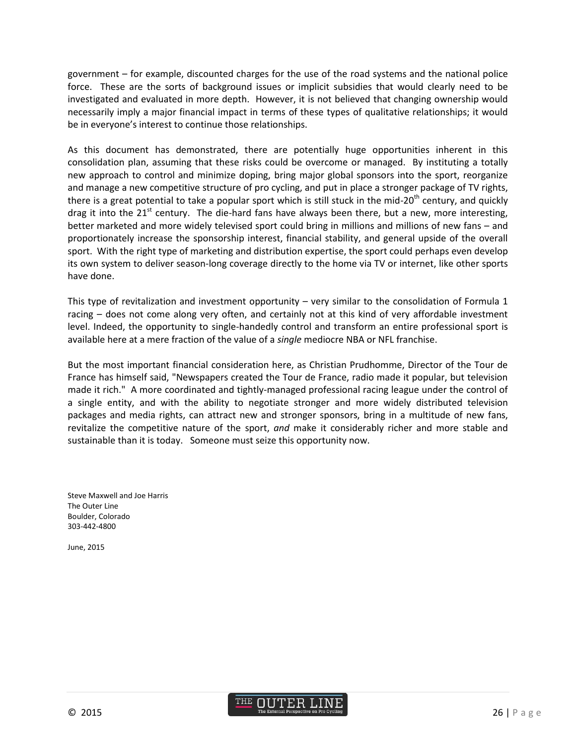government – for example, discounted charges for the use of the road systems and the national police force. These are the sorts of background issues or implicit subsidies that would clearly need to be investigated and evaluated in more depth. However, it is not believed that changing ownership would necessarily imply a major financial impact in terms of these types of qualitative relationships; it would be in everyone's interest to continue those relationships.

As this document has demonstrated, there are potentially huge opportunities inherent in this consolidation plan, assuming that these risks could be overcome or managed. By instituting a totally new approach to control and minimize doping, bring major global sponsors into the sport, reorganize and manage a new competitive structure of pro cycling, and put in place a stronger package of TV rights, there is a great potential to take a popular sport which is still stuck in the mid-20<sup>th</sup> century, and quickly drag it into the 21 $^{\rm st}$  century. The die-hard fans have always been there, but a new, more interesting, better marketed and more widely televised sport could bring in millions and millions of new fans – and proportionately increase the sponsorship interest, financial stability, and general upside of the overall sport. With the right type of marketing and distribution expertise, the sport could perhaps even develop its own system to deliver season-long coverage directly to the home via TV or internet, like other sports have done.

This type of revitalization and investment opportunity – very similar to the consolidation of Formula 1 racing – does not come along very often, and certainly not at this kind of very affordable investment level. Indeed, the opportunity to single-handedly control and transform an entire professional sport is available here at a mere fraction of the value of a *single* mediocre NBA or NFL franchise.

But the most important financial consideration here, as Christian Prudhomme, Director of the Tour de France has himself said, "Newspapers created the Tour de France, radio made it popular, but television made it rich." A more coordinated and tightly-managed professional racing league under the control of a single entity, and with the ability to negotiate stronger and more widely distributed television packages and media rights, can attract new and stronger sponsors, bring in a multitude of new fans, revitalize the competitive nature of the sport, *and* make it considerably richer and more stable and sustainable than it is today. Someone must seize this opportunity now.

Steve Maxwell and Joe Harris The Outer Line Boulder, Colorado 303-442-4800

June, 2015

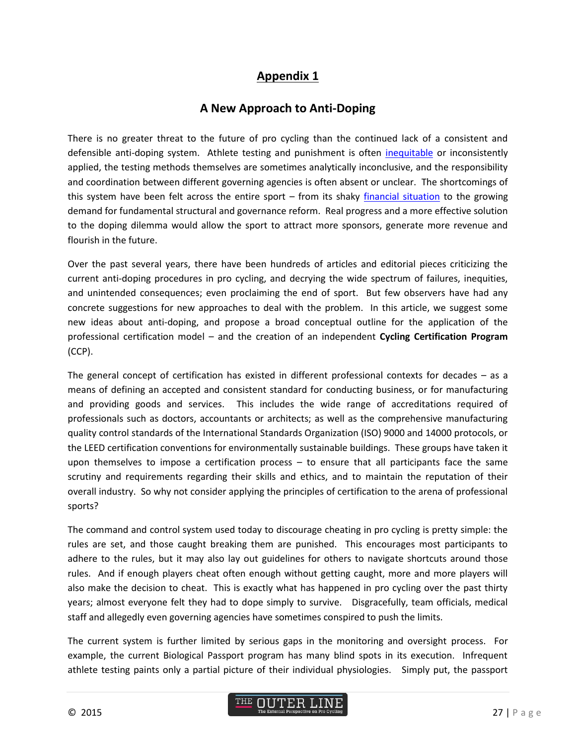## **Appendix 1**

## **A New Approach to Anti-Doping**

There is no greater threat to the future of pro cycling than the continued lack of a consistent and defensible anti-doping system. Athlete testing and punishment is often [inequitable](http://www.theouterline.com/the-dog-ate-my-homework/) or inconsistently applied, the testing methods themselves are sometimes analytically inconclusive, and the responsibility and coordination between different governing agencies is often absent or unclear. The shortcomings of this system have been felt across the entire sport – from its shaky [financial situation](http://www.theouterline.com/changing-the-business-model-1-strengthening-the-financial-foundation/) to the growing demand for fundamental structural and governance reform. Real progress and a more effective solution to the doping dilemma would allow the sport to attract more sponsors, generate more revenue and flourish in the future.

Over the past several years, there have been hundreds of articles and editorial pieces criticizing the current anti-doping procedures in pro cycling, and decrying the wide spectrum of failures, inequities, and unintended consequences; even proclaiming the end of sport. But few observers have had any concrete suggestions for new approaches to deal with the problem. In this article, we suggest some new ideas about anti-doping, and propose a broad conceptual outline for the application of the professional certification model – and the creation of an independent **Cycling Certification Program** (CCP).

The general concept of certification has existed in different professional contexts for decades – as a means of defining an accepted and consistent standard for conducting business, or for manufacturing and providing goods and services. This includes the wide range of accreditations required of professionals such as doctors, accountants or architects; as well as the comprehensive manufacturing quality control standards of the International Standards Organization (ISO) 9000 and 14000 protocols, or the LEED certification conventions for environmentally sustainable buildings. These groups have taken it upon themselves to impose a certification process – to ensure that all participants face the same scrutiny and requirements regarding their skills and ethics, and to maintain the reputation of their overall industry. So why not consider applying the principles of certification to the arena of professional sports?

The command and control system used today to discourage cheating in pro cycling is pretty simple: the rules are set, and those caught breaking them are punished. This encourages most participants to adhere to the rules, but it may also lay out guidelines for others to navigate shortcuts around those rules. And if enough players cheat often enough without getting caught, more and more players will also make the decision to cheat. This is exactly what has happened in pro cycling over the past thirty years; almost everyone felt they had to dope simply to survive. Disgracefully, team officials, medical staff and allegedly even governing agencies have sometimes conspired to push the limits.

The current system is further limited by serious gaps in the monitoring and oversight process. For example, the current Biological Passport program has many blind spots in its execution. Infrequent athlete testing paints only a partial picture of their individual physiologies. Simply put, the passport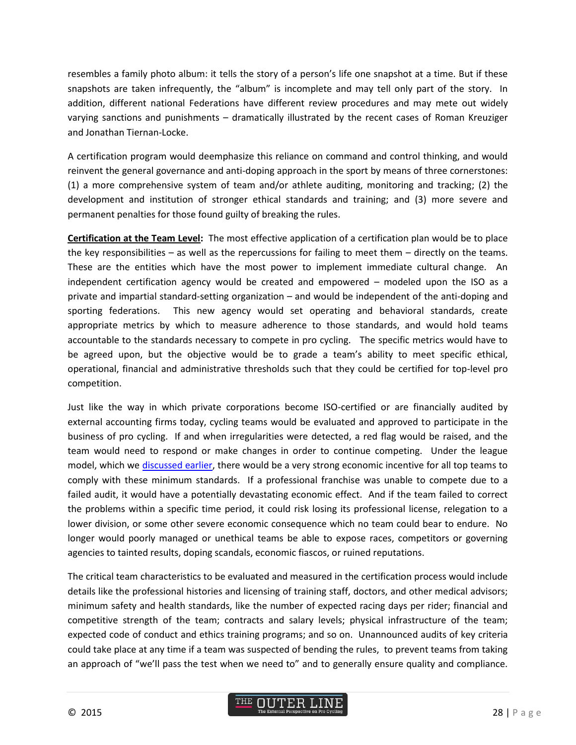resembles a family photo album: it tells the story of a person's life one snapshot at a time. But if these snapshots are taken infrequently, the "album" is incomplete and may tell only part of the story. In addition, different national Federations have different review procedures and may mete out widely varying sanctions and punishments – dramatically illustrated by the recent cases of Roman Kreuziger and Jonathan Tiernan-Locke.

A certification program would deemphasize this reliance on command and control thinking, and would reinvent the general governance and anti-doping approach in the sport by means of three cornerstones: (1) a more comprehensive system of team and/or athlete auditing, monitoring and tracking; (2) the development and institution of stronger ethical standards and training; and (3) more severe and permanent penalties for those found guilty of breaking the rules.

**Certification at the Team Level:** The most effective application of a certification plan would be to place the key responsibilities – as well as the repercussions for failing to meet them – directly on the teams. These are the entities which have the most power to implement immediate cultural change. An independent certification agency would be created and empowered – modeled upon the ISO as a private and impartial standard-setting organization – and would be independent of the anti-doping and sporting federations. This new agency would set operating and behavioral standards, create appropriate metrics by which to measure adherence to those standards, and would hold teams accountable to the standards necessary to compete in pro cycling. The specific metrics would have to be agreed upon, but the objective would be to grade a team's ability to meet specific ethical, operational, financial and administrative thresholds such that they could be certified for top-level pro competition.

Just like the way in which private corporations become ISO-certified or are financially audited by external accounting firms today, cycling teams would be evaluated and approved to participate in the business of pro cycling. If and when irregularities were detected, a red flag would be raised, and the team would need to respond or make changes in order to continue competing. Under the league model, which we [discussed earlier,](http://www.theouterline.com/changing-the-business-model-3-modernizing-the-calendar-and-competitive-structure/) there would be a very strong economic incentive for all top teams to comply with these minimum standards. If a professional franchise was unable to compete due to a failed audit, it would have a potentially devastating economic effect. And if the team failed to correct the problems within a specific time period, it could risk losing its professional license, relegation to a lower division, or some other severe economic consequence which no team could bear to endure. No longer would poorly managed or unethical teams be able to expose races, competitors or governing agencies to tainted results, doping scandals, economic fiascos, or ruined reputations.

The critical team characteristics to be evaluated and measured in the certification process would include details like the professional histories and licensing of training staff, doctors, and other medical advisors; minimum safety and health standards, like the number of expected racing days per rider; financial and competitive strength of the team; contracts and salary levels; physical infrastructure of the team; expected code of conduct and ethics training programs; and so on. Unannounced audits of key criteria could take place at any time if a team was suspected of bending the rules, to prevent teams from taking an approach of "we'll pass the test when we need to" and to generally ensure quality and compliance.

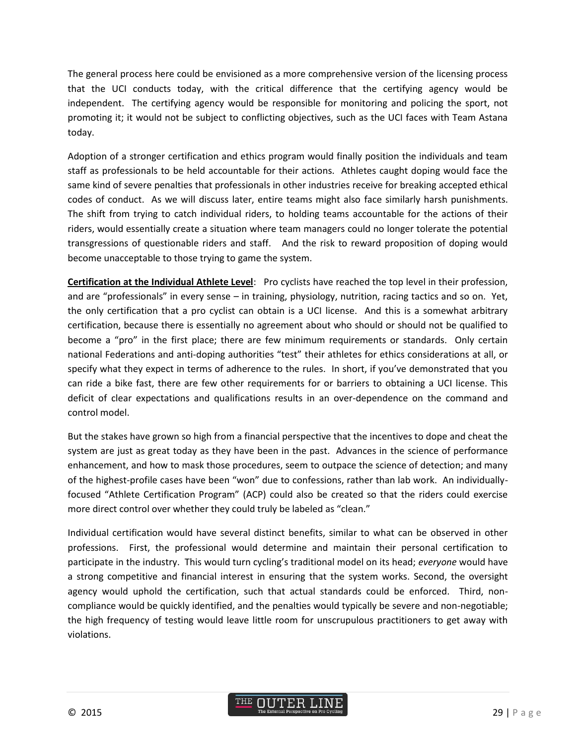The general process here could be envisioned as a more comprehensive version of the licensing process that the UCI conducts today, with the critical difference that the certifying agency would be independent. The certifying agency would be responsible for monitoring and policing the sport, not promoting it; it would not be subject to conflicting objectives, such as the UCI faces with Team Astana today.

Adoption of a stronger certification and ethics program would finally position the individuals and team staff as professionals to be held accountable for their actions. Athletes caught doping would face the same kind of severe penalties that professionals in other industries receive for breaking accepted ethical codes of conduct. As we will discuss later, entire teams might also face similarly harsh punishments. The shift from trying to catch individual riders, to holding teams accountable for the actions of their riders, would essentially create a situation where team managers could no longer tolerate the potential transgressions of questionable riders and staff. And the risk to reward proposition of doping would become unacceptable to those trying to game the system.

**Certification at the Individual Athlete Level**: Pro cyclists have reached the top level in their profession, and are "professionals" in every sense – in training, physiology, nutrition, racing tactics and so on. Yet, the only certification that a pro cyclist can obtain is a UCI license. And this is a somewhat arbitrary certification, because there is essentially no agreement about who should or should not be qualified to become a "pro" in the first place; there are few minimum requirements or standards. Only certain national Federations and anti-doping authorities "test" their athletes for ethics considerations at all, or specify what they expect in terms of adherence to the rules. In short, if you've demonstrated that you can ride a bike fast, there are few other requirements for or barriers to obtaining a UCI license. This deficit of clear expectations and qualifications results in an over-dependence on the command and control model.

But the stakes have grown so high from a financial perspective that the incentives to dope and cheat the system are just as great today as they have been in the past. Advances in the science of performance enhancement, and how to mask those procedures, seem to outpace the science of detection; and many of the highest-profile cases have been "won" due to confessions, rather than lab work. An individuallyfocused "Athlete Certification Program" (ACP) could also be created so that the riders could exercise more direct control over whether they could truly be labeled as "clean."

Individual certification would have several distinct benefits, similar to what can be observed in other professions. First, the professional would determine and maintain their personal certification to participate in the industry. This would turn cycling's traditional model on its head; *everyone* would have a strong competitive and financial interest in ensuring that the system works. Second, the oversight agency would uphold the certification, such that actual standards could be enforced. Third, noncompliance would be quickly identified, and the penalties would typically be severe and non-negotiable; the high frequency of testing would leave little room for unscrupulous practitioners to get away with violations.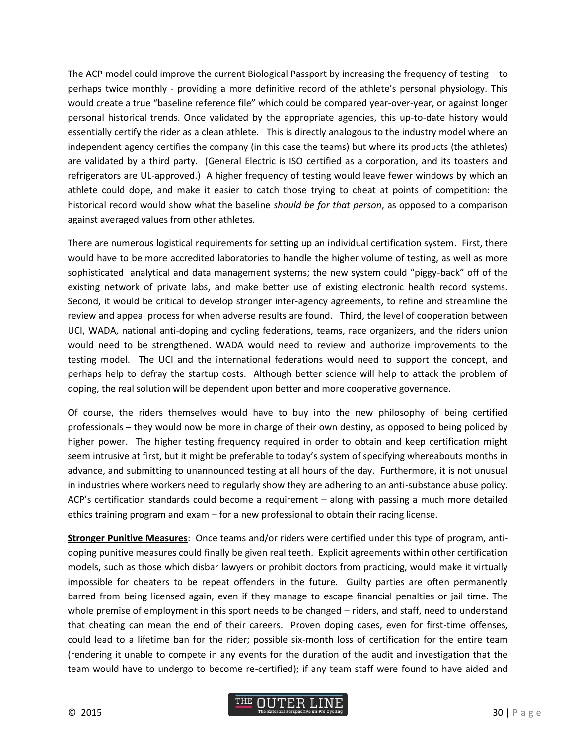The ACP model could improve the current Biological Passport by increasing the frequency of testing – to perhaps twice monthly - providing a more definitive record of the athlete's personal physiology. This would create a true "baseline reference file" which could be compared year-over-year, or against longer personal historical trends. Once validated by the appropriate agencies, this up-to-date history would essentially certify the rider as a clean athlete. This is directly analogous to the industry model where an independent agency certifies the company (in this case the teams) but where its products (the athletes) are validated by a third party. (General Electric is ISO certified as a corporation, and its toasters and refrigerators are UL-approved.) A higher frequency of testing would leave fewer windows by which an athlete could dope, and make it easier to catch those trying to cheat at points of competition: the historical record would show what the baseline *should be for that person*, as opposed to a comparison against averaged values from other athletes*.*

There are numerous logistical requirements for setting up an individual certification system. First, there would have to be more accredited laboratories to handle the higher volume of testing, as well as more sophisticated analytical and data management systems; the new system could "piggy-back" off of the existing network of private labs, and make better use of existing electronic health record systems. Second, it would be critical to develop stronger inter-agency agreements, to refine and streamline the review and appeal process for when adverse results are found. Third, the level of cooperation between UCI, WADA, national anti-doping and cycling federations, teams, race organizers, and the riders union would need to be strengthened. WADA would need to review and authorize improvements to the testing model. The UCI and the international federations would need to support the concept, and perhaps help to defray the startup costs. Although better science will help to attack the problem of doping, the real solution will be dependent upon better and more cooperative governance.

Of course, the riders themselves would have to buy into the new philosophy of being certified professionals – they would now be more in charge of their own destiny, as opposed to being policed by higher power. The higher testing frequency required in order to obtain and keep certification might seem intrusive at first, but it might be preferable to today's system of specifying whereabouts months in advance, and submitting to unannounced testing at all hours of the day. Furthermore, it is not unusual in industries where workers need to regularly show they are adhering to an anti-substance abuse policy. ACP's certification standards could become a requirement – along with passing a much more detailed ethics training program and exam – for a new professional to obtain their racing license.

**Stronger Punitive Measures**: Once teams and/or riders were certified under this type of program, antidoping punitive measures could finally be given real teeth. Explicit agreements within other certification models, such as those which disbar lawyers or prohibit doctors from practicing, would make it virtually impossible for cheaters to be repeat offenders in the future. Guilty parties are often permanently barred from being licensed again, even if they manage to escape financial penalties or jail time. The whole premise of employment in this sport needs to be changed – riders, and staff, need to understand that cheating can mean the end of their careers. Proven doping cases, even for first-time offenses, could lead to a lifetime ban for the rider; possible six-month loss of certification for the entire team (rendering it unable to compete in any events for the duration of the audit and investigation that the team would have to undergo to become re-certified); if any team staff were found to have aided and